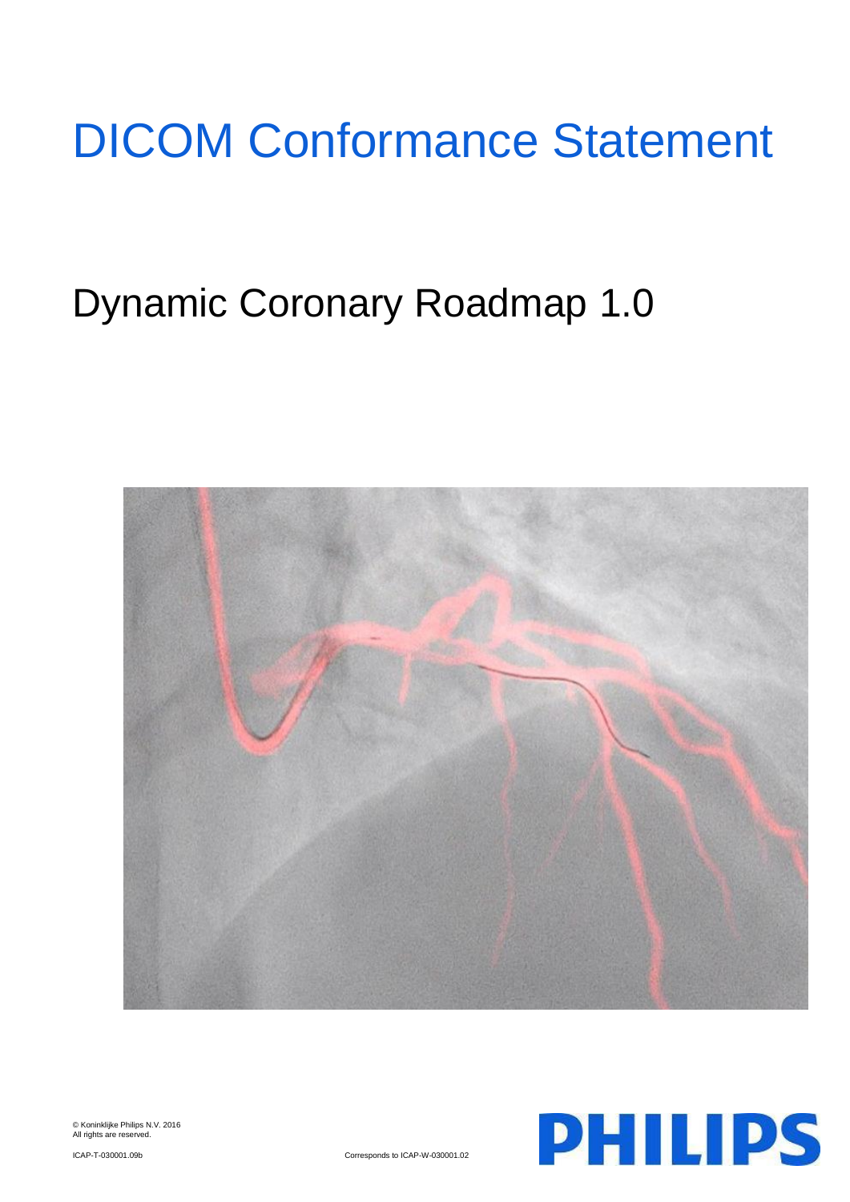# DICOM Conformance Statement

# Dynamic Coronary Roadmap 1.0



© Koninklijke Philips N.V. 2016 All rights are reserved.



ICAP-T-030001.09b Corresponds to ICAP-W-030001.02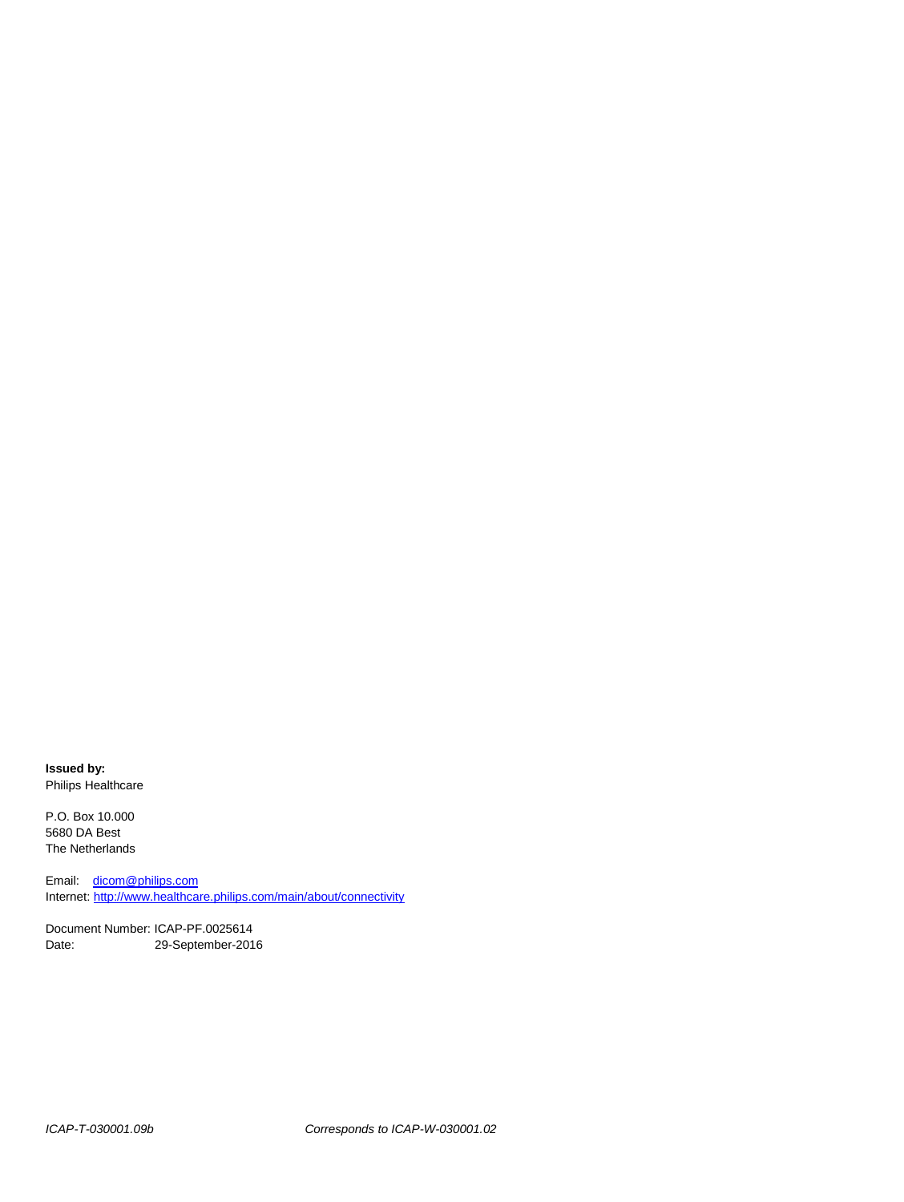**Issued by:** Philips Healthcare

P.O. Box 10.000 5680 DA Best The Netherlands

Email: [dicom@philips.com](mailto:dicom@philips.com) Internet[: http://www.healthcare.philips.com/main/about/connectivity](http://www.healthcare.philips.com/main/about/connectivity)

Document Number: ICAP-PF.0025614 Date: 29-September-2016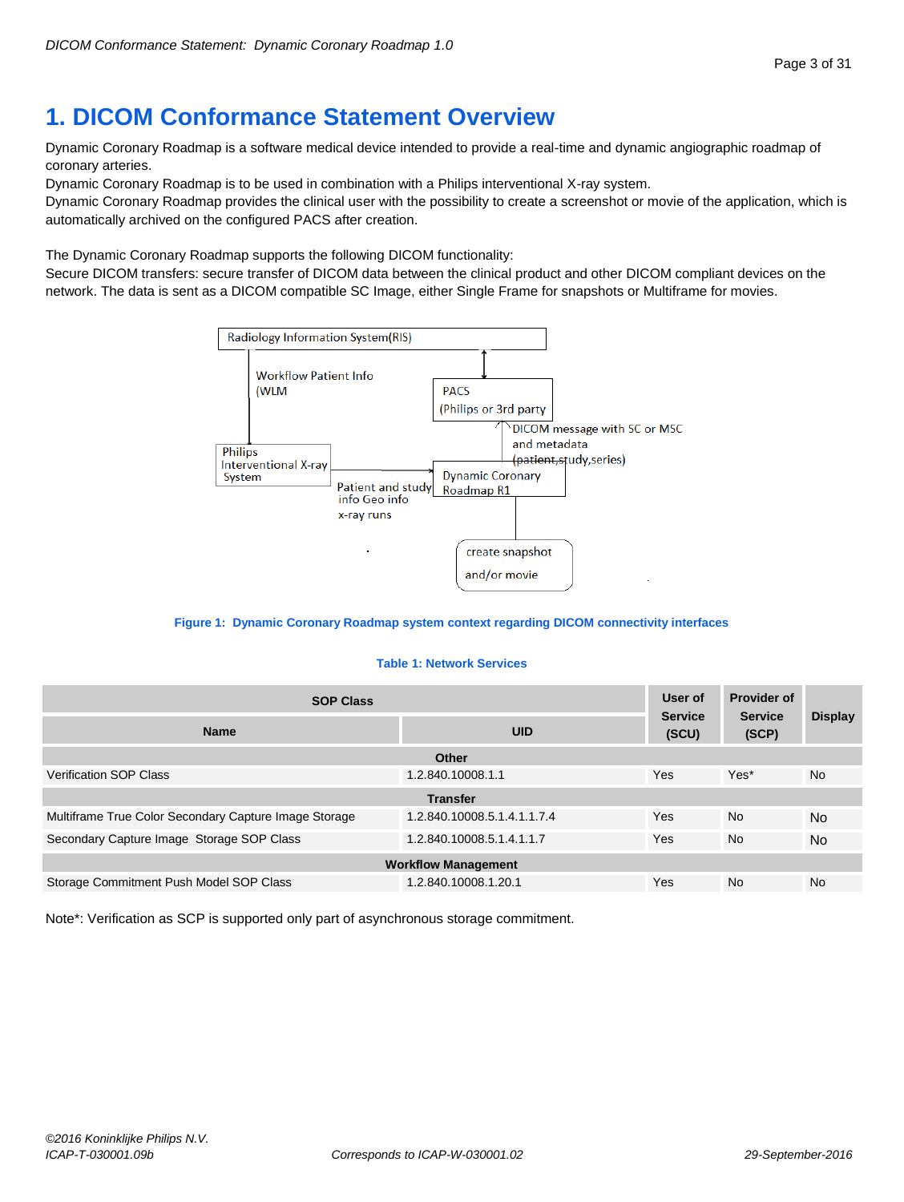## <span id="page-2-0"></span>**1. DICOM Conformance Statement Overview**

Dynamic Coronary Roadmap is a software medical device intended to provide a real-time and dynamic angiographic roadmap of coronary arteries.

Dynamic Coronary Roadmap is to be used in combination with a Philips interventional X-ray system.

Dynamic Coronary Roadmap provides the clinical user with the possibility to create a screenshot or movie of the application, which is automatically archived on the configured PACS after creation.

The Dynamic Coronary Roadmap supports the following DICOM functionality:

Secure DICOM transfers: secure transfer of DICOM data between the clinical product and other DICOM compliant devices on the network. The data is sent as a DICOM compatible SC Image, either Single Frame for snapshots or Multiframe for movies.



**Figure 1: Dynamic Coronary Roadmap system context regarding DICOM connectivity interfaces**

## **Table 1: Network Services**

| <b>SOP Class</b>                                      |                             | User of                                            | <b>Provider of</b> | <b>Display</b> |
|-------------------------------------------------------|-----------------------------|----------------------------------------------------|--------------------|----------------|
| <b>Name</b>                                           | <b>UID</b>                  | <b>Service</b><br><b>Service</b><br>(SCP)<br>(SCU) |                    |                |
|                                                       | Other                       |                                                    |                    |                |
| <b>Verification SOP Class</b>                         | 1.2.840.10008.1.1           | Yes                                                | Yes*               | <b>No</b>      |
|                                                       | <b>Transfer</b>             |                                                    |                    |                |
| Multiframe True Color Secondary Capture Image Storage | 1.2.840.10008.5.1.4.1.1.7.4 | Yes                                                | <b>No</b>          | N <sub>o</sub> |
| Secondary Capture Image Storage SOP Class             | 1.2.840.10008.5.1.4.1.1.7   | Yes                                                | <b>No</b>          | <b>No</b>      |
| <b>Workflow Management</b>                            |                             |                                                    |                    |                |
| Storage Commitment Push Model SOP Class               | 1.2.840.10008.1.20.1        | Yes                                                | <b>No</b>          | <b>No</b>      |

Note\*: Verification as SCP is supported only part of asynchronous storage commitment.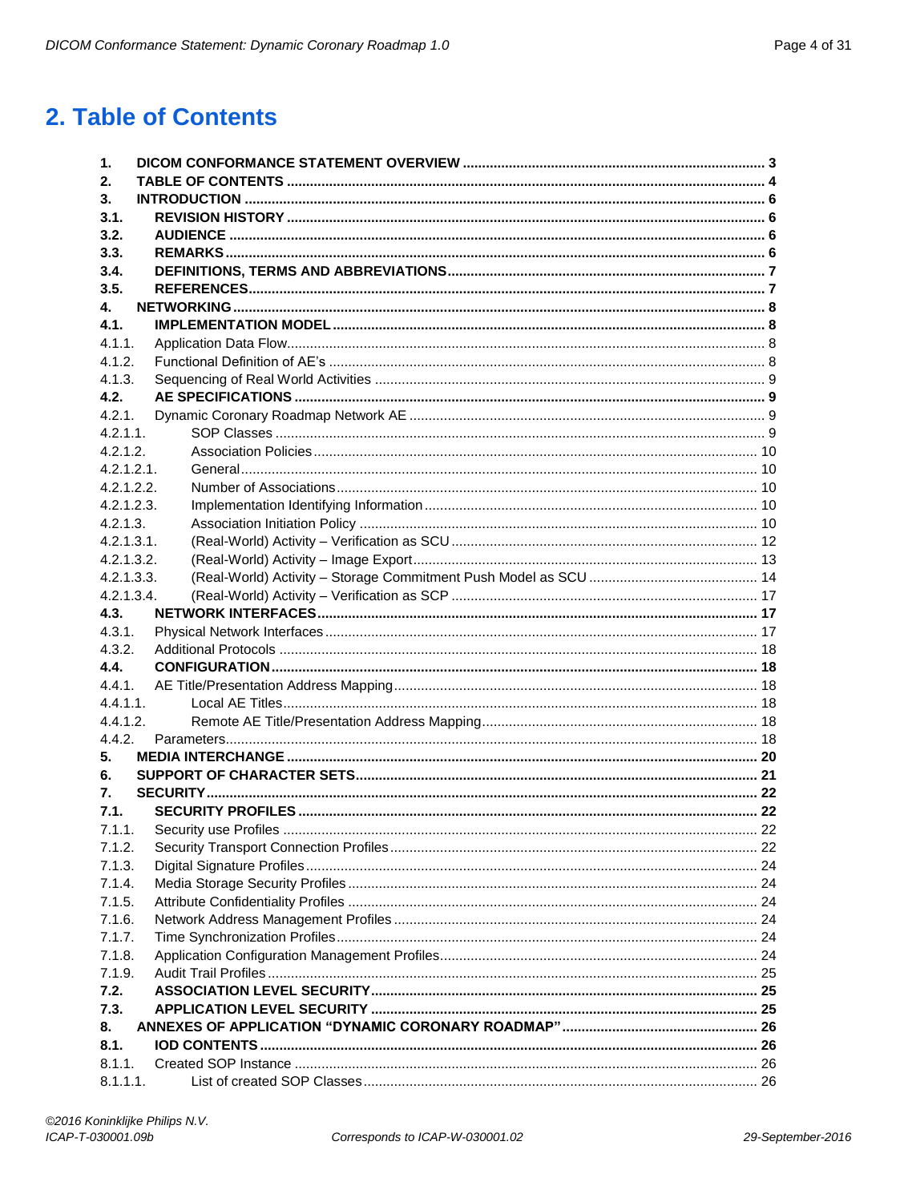## <span id="page-3-0"></span>2. Table of Contents

| 1.           |  |
|--------------|--|
| 2.           |  |
| 3.           |  |
| 3.1.         |  |
| 3.2.         |  |
| 3.3.         |  |
| 3.4.<br>3.5. |  |
| 4.           |  |
| 4.1.         |  |
| 4.1.1.       |  |
| 4.1.2.       |  |
| 4.1.3.       |  |
| 4.2.         |  |
| 4.2.1.       |  |
| $4.2.1.1$ .  |  |
| 4.2.1.2.     |  |
| 4.2.1.2.1.   |  |
| 4.2.1.2.2.   |  |
| 4.2.1.2.3.   |  |
| 4.2.1.3.     |  |
| 4.2.1.3.1.   |  |
| 4.2.1.3.2.   |  |
| 4.2.1.3.3.   |  |
| 4.2.1.3.4.   |  |
| 4.3.         |  |
| 4.3.1.       |  |
| 4.3.2.       |  |
| 4.4.         |  |
| 4.4.1.       |  |
| $4.4.1.1$ .  |  |
| 4.4.1.2.     |  |
| 4.4.2.       |  |
| 5.           |  |
| 6.<br>7.     |  |
| 7.1.         |  |
| 7.1.1.       |  |
| 7.1.2.       |  |
| 7.1.3.       |  |
| 7.1.4.       |  |
| 7.1.5.       |  |
| 7.1.6.       |  |
| 7.1.7.       |  |
| 7.1.8.       |  |
| 7.1.9.       |  |
| 7.2.         |  |
| 7.3.         |  |
| 8.           |  |
| 8.1.         |  |
| 8.1.1.       |  |
| 8.1.1.1.     |  |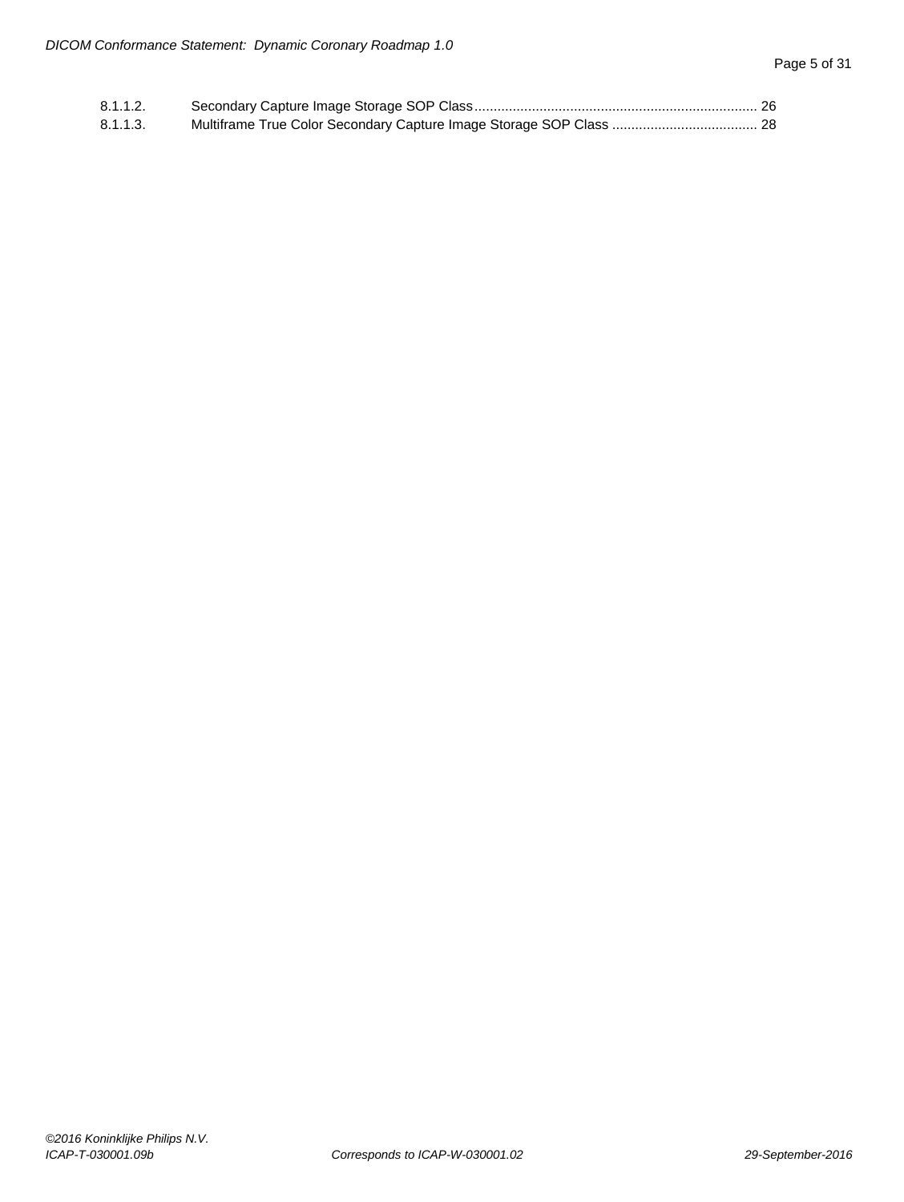| 8.1.1.2. |  |
|----------|--|
| 8.1.1.3. |  |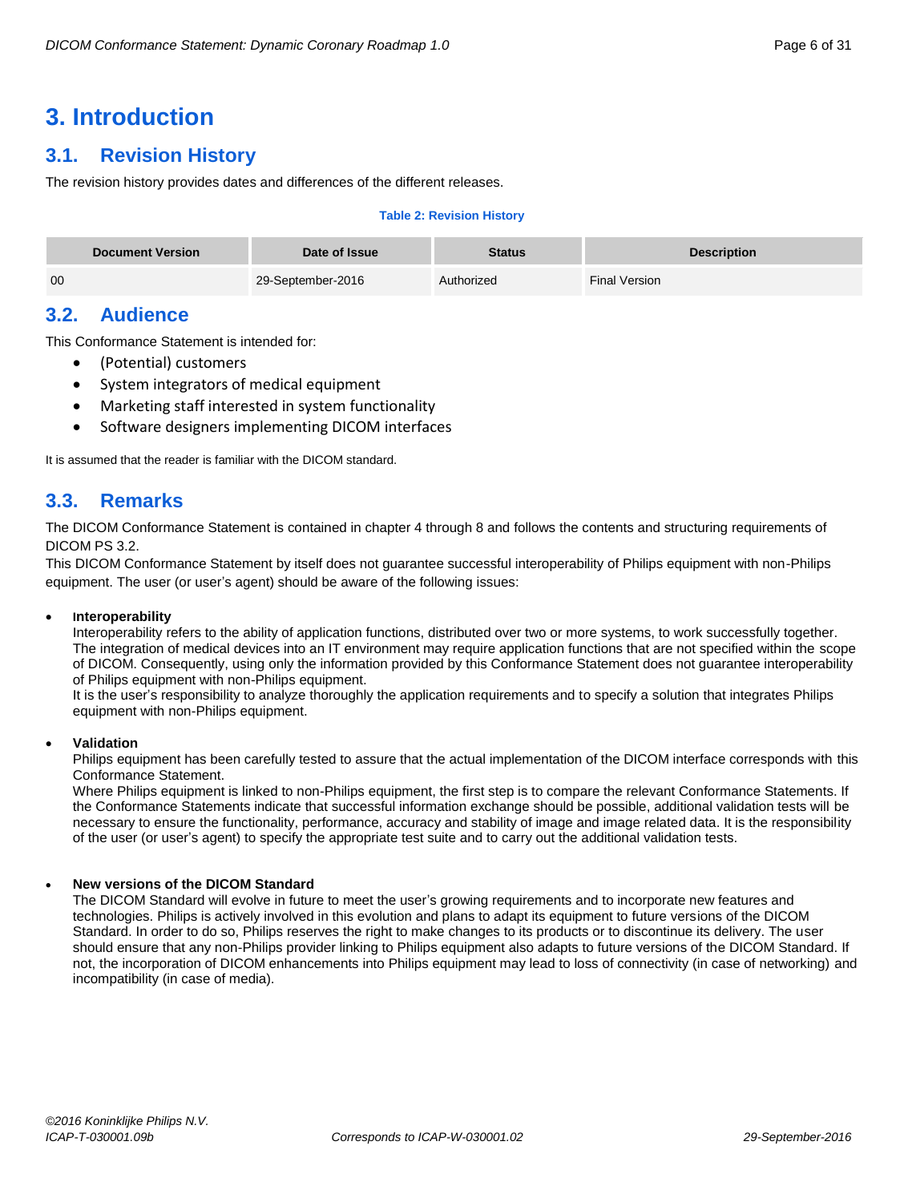## <span id="page-5-0"></span>**3. Introduction**

## <span id="page-5-1"></span>**3.1. Revision History**

The revision history provides dates and differences of the different releases.

#### **Table 2: Revision History**

| <b>Document Version</b> | Date of Issue     | <b>Status</b> | <b>Description</b>   |
|-------------------------|-------------------|---------------|----------------------|
| 00                      | 29-September-2016 | Authorized    | <b>Final Version</b> |

## <span id="page-5-2"></span>**3.2. Audience**

This Conformance Statement is intended for:

- (Potential) customers
- System integrators of medical equipment
- Marketing staff interested in system functionality
- Software designers implementing DICOM interfaces

It is assumed that the reader is familiar with the DICOM standard.

## <span id="page-5-3"></span>**3.3. Remarks**

The DICOM Conformance Statement is contained in chapter 4 through 8 and follows the contents and structuring requirements of DICOM PS 3.2.

This DICOM Conformance Statement by itself does not guarantee successful interoperability of Philips equipment with non-Philips equipment. The user (or user's agent) should be aware of the following issues:

## **Interoperability**

Interoperability refers to the ability of application functions, distributed over two or more systems, to work successfully together. The integration of medical devices into an IT environment may require application functions that are not specified within the scope of DICOM. Consequently, using only the information provided by this Conformance Statement does not guarantee interoperability of Philips equipment with non-Philips equipment.

It is the user's responsibility to analyze thoroughly the application requirements and to specify a solution that integrates Philips equipment with non-Philips equipment.

## **Validation**

Philips equipment has been carefully tested to assure that the actual implementation of the DICOM interface corresponds with this Conformance Statement.

Where Philips equipment is linked to non-Philips equipment, the first step is to compare the relevant Conformance Statements. If the Conformance Statements indicate that successful information exchange should be possible, additional validation tests will be necessary to ensure the functionality, performance, accuracy and stability of image and image related data. It is the responsibility of the user (or user's agent) to specify the appropriate test suite and to carry out the additional validation tests.

## **New versions of the DICOM Standard**

The DICOM Standard will evolve in future to meet the user's growing requirements and to incorporate new features and technologies. Philips is actively involved in this evolution and plans to adapt its equipment to future versions of the DICOM Standard. In order to do so, Philips reserves the right to make changes to its products or to discontinue its delivery. The user should ensure that any non-Philips provider linking to Philips equipment also adapts to future versions of the DICOM Standard. If not, the incorporation of DICOM enhancements into Philips equipment may lead to loss of connectivity (in case of networking) and incompatibility (in case of media).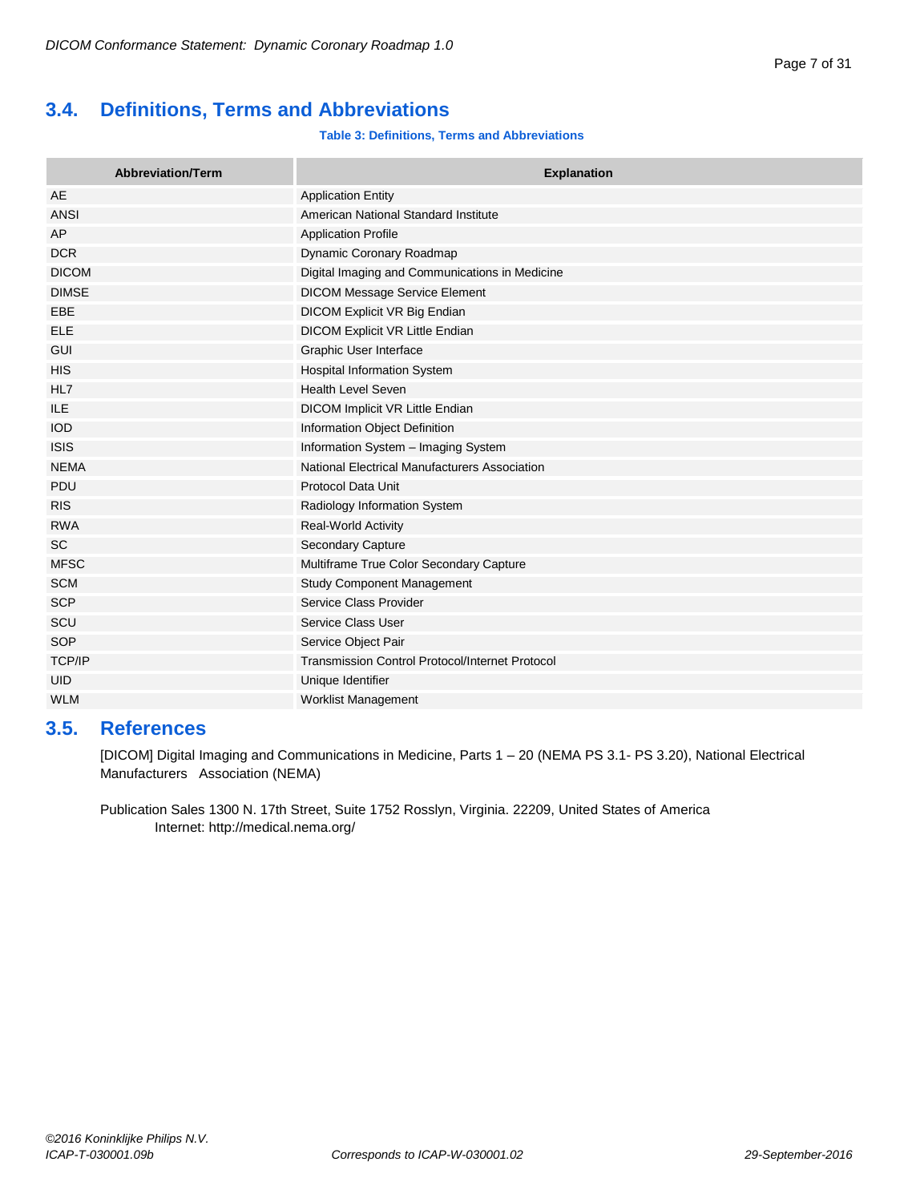## <span id="page-6-0"></span>**3.4. Definitions, Terms and Abbreviations**

## **Table 3: Definitions, Terms and Abbreviations**

| <b>Abbreviation/Term</b> | <b>Explanation</b>                                     |
|--------------------------|--------------------------------------------------------|
| AE                       | <b>Application Entity</b>                              |
| <b>ANSI</b>              | American National Standard Institute                   |
| AP                       | <b>Application Profile</b>                             |
| <b>DCR</b>               | Dynamic Coronary Roadmap                               |
| <b>DICOM</b>             | Digital Imaging and Communications in Medicine         |
| <b>DIMSE</b>             | <b>DICOM Message Service Element</b>                   |
| EBE                      | DICOM Explicit VR Big Endian                           |
| <b>ELE</b>               | DICOM Explicit VR Little Endian                        |
| <b>GUI</b>               | Graphic User Interface                                 |
| <b>HIS</b>               | <b>Hospital Information System</b>                     |
| HL7                      | <b>Health Level Seven</b>                              |
| <b>ILE</b>               | DICOM Implicit VR Little Endian                        |
| <b>IOD</b>               | Information Object Definition                          |
| <b>ISIS</b>              | Information System - Imaging System                    |
| <b>NEMA</b>              | National Electrical Manufacturers Association          |
| PDU                      | <b>Protocol Data Unit</b>                              |
| <b>RIS</b>               | Radiology Information System                           |
| <b>RWA</b>               | <b>Real-World Activity</b>                             |
| <b>SC</b>                | Secondary Capture                                      |
| <b>MFSC</b>              | Multiframe True Color Secondary Capture                |
| <b>SCM</b>               | <b>Study Component Management</b>                      |
| <b>SCP</b>               | Service Class Provider                                 |
| SCU                      | Service Class User                                     |
| SOP                      | Service Object Pair                                    |
| TCP/IP                   | <b>Transmission Control Protocol/Internet Protocol</b> |
| <b>UID</b>               | Unique Identifier                                      |
| <b>WLM</b>               | <b>Worklist Management</b>                             |

## <span id="page-6-1"></span>**3.5. References**

[DICOM] Digital Imaging and Communications in Medicine, Parts 1 – 20 (NEMA PS 3.1- PS 3.20), National Electrical Manufacturers Association (NEMA)

Publication Sales 1300 N. 17th Street, Suite 1752 Rosslyn, Virginia. 22209, United States of America Internet[: http://medical.nema.org/](http://medical.nema.org/)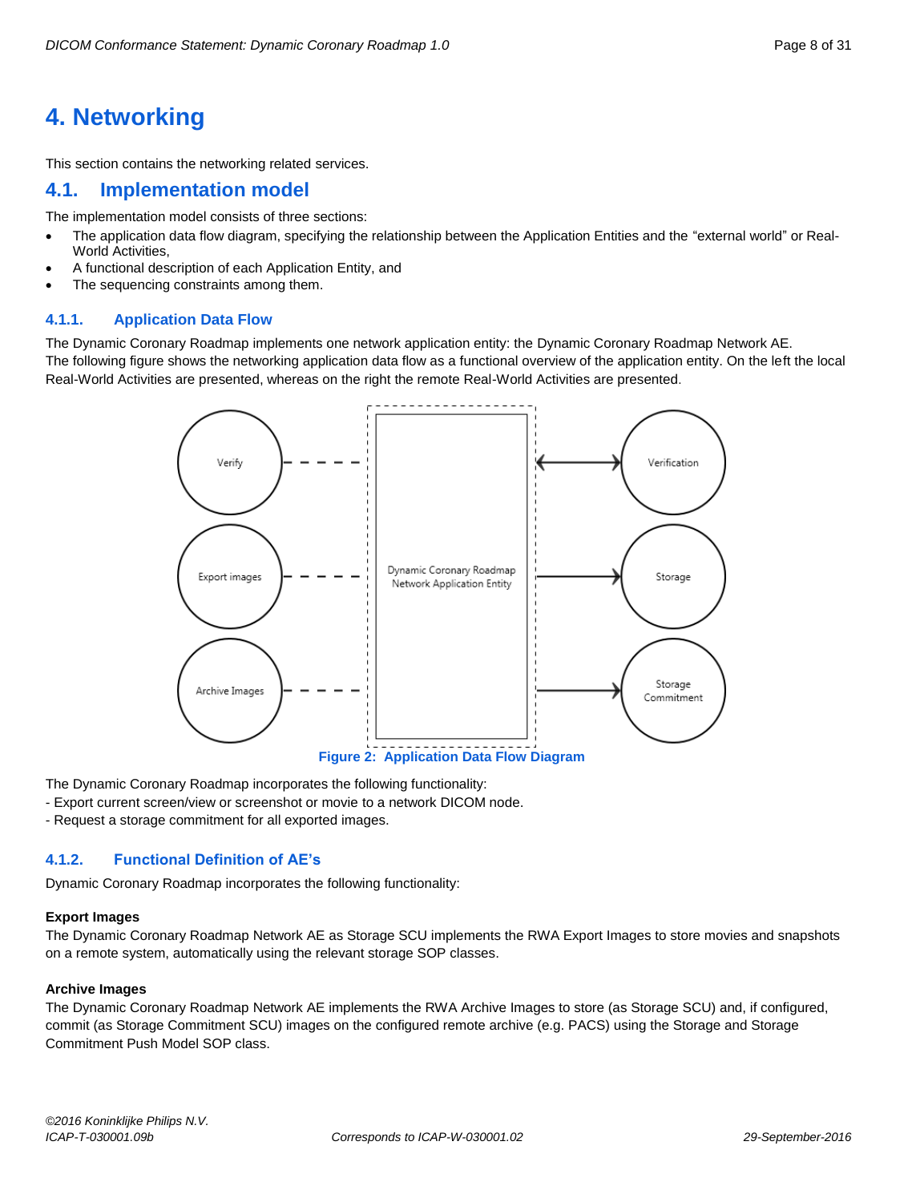## <span id="page-7-0"></span>**4. Networking**

This section contains the networking related services.

## <span id="page-7-1"></span>**4.1. Implementation model**

The implementation model consists of three sections:

- The application data flow diagram, specifying the relationship between the Application Entities and the "external world" or Real-World Activities,
- A functional description of each Application Entity, and
- The sequencing constraints among them.

## <span id="page-7-2"></span>**4.1.1. Application Data Flow**

The Dynamic Coronary Roadmap implements one network application entity: the Dynamic Coronary Roadmap Network AE. The following figure shows the networking application data flow as a functional overview of the application entity. On the left the local Real-World Activities are presented, whereas on the right the remote Real-World Activities are presented.



The Dynamic Coronary Roadmap incorporates the following functionality:

- Export current screen/view or screenshot or movie to a network DICOM node.
- Request a storage commitment for all exported images.

## <span id="page-7-3"></span>**4.1.2. Functional Definition of AE's**

Dynamic Coronary Roadmap incorporates the following functionality:

## **Export Images**

The Dynamic Coronary Roadmap Network AE as Storage SCU implements the RWA Export Images to store movies and snapshots on a remote system, automatically using the relevant storage SOP classes.

## **Archive Images**

The Dynamic Coronary Roadmap Network AE implements the RWA Archive Images to store (as Storage SCU) and, if configured, commit (as Storage Commitment SCU) images on the configured remote archive (e.g. PACS) using the Storage and Storage Commitment Push Model SOP class.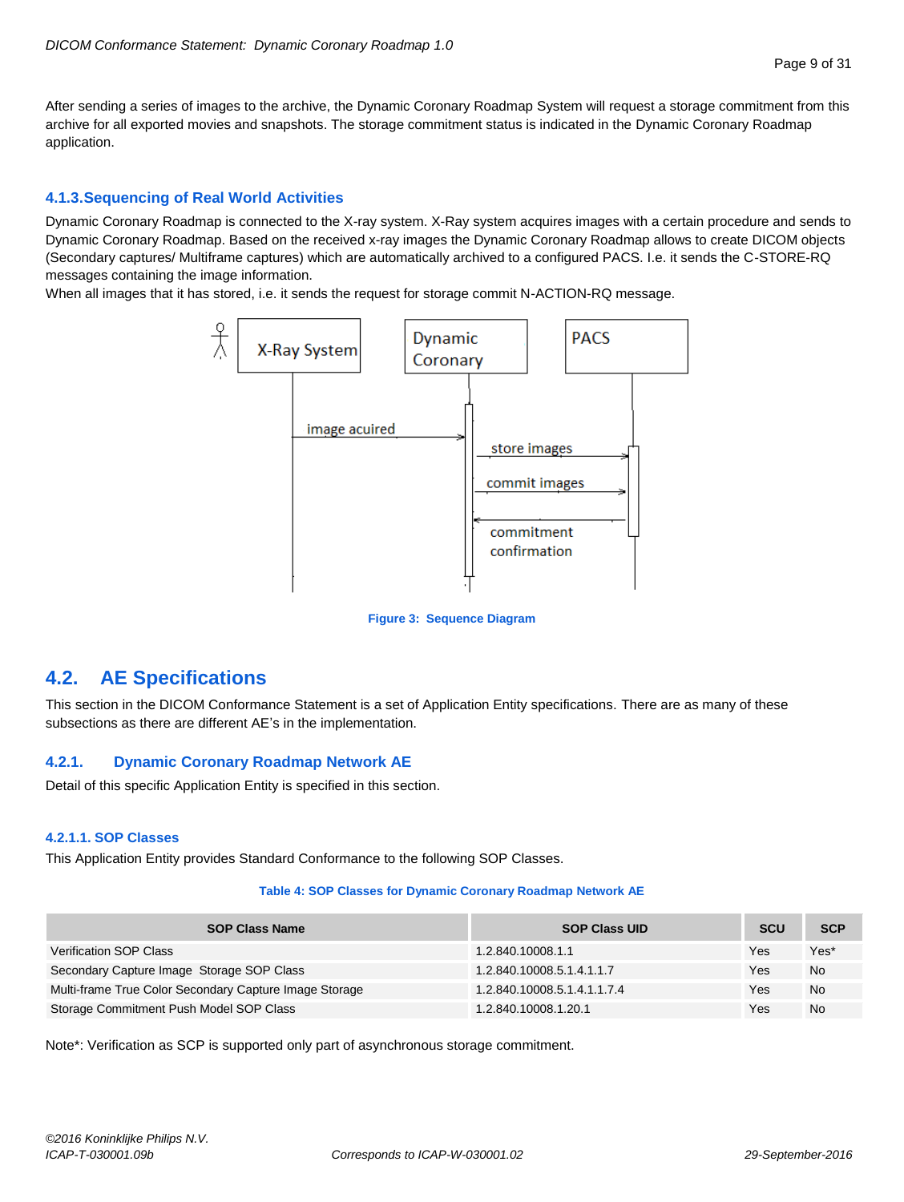After sending a series of images to the archive, the Dynamic Coronary Roadmap System will request a storage commitment from this archive for all exported movies and snapshots. The storage commitment status is indicated in the Dynamic Coronary Roadmap application.

## <span id="page-8-0"></span>**4.1.3.Sequencing of Real World Activities**

Dynamic Coronary Roadmap is connected to the X-ray system. X-Ray system acquires images with a certain procedure and sends to Dynamic Coronary Roadmap. Based on the received x-ray images the Dynamic Coronary Roadmap allows to create DICOM objects (Secondary captures/ Multiframe captures) which are automatically archived to a configured PACS. I.e. it sends the C-STORE-RQ messages containing the image information.

When all images that it has stored, i.e. it sends the request for storage commit N-ACTION-RQ message.



**Figure 3: Sequence Diagram**

## <span id="page-8-1"></span>**4.2. AE Specifications**

This section in the DICOM Conformance Statement is a set of Application Entity specifications. There are as many of these subsections as there are different AE's in the implementation.

## <span id="page-8-2"></span>**4.2.1. Dynamic Coronary Roadmap Network AE**

Detail of this specific Application Entity is specified in this section.

## <span id="page-8-3"></span>**4.2.1.1. SOP Classes**

This Application Entity provides Standard Conformance to the following SOP Classes.

#### **Table 4: SOP Classes for Dynamic Coronary Roadmap Network AE**

| <b>SOP Class Name</b>                                  | <b>SOP Class UID</b>        | <b>SCU</b> | <b>SCP</b> |
|--------------------------------------------------------|-----------------------------|------------|------------|
| <b>Verification SOP Class</b>                          | 1.2.840.10008.1.1           | Yes        | Yes*       |
| Secondary Capture Image Storage SOP Class              | 1.2.840.10008.5.1.4.1.1.7   | Yes        | <b>No</b>  |
| Multi-frame True Color Secondary Capture Image Storage | 1.2.840.10008.5.1.4.1.1.7.4 | Yes        | <b>No</b>  |
| Storage Commitment Push Model SOP Class                | 1.2.840.10008.1.20.1        | Yes        | No.        |

Note\*: Verification as SCP is supported only part of asynchronous storage commitment.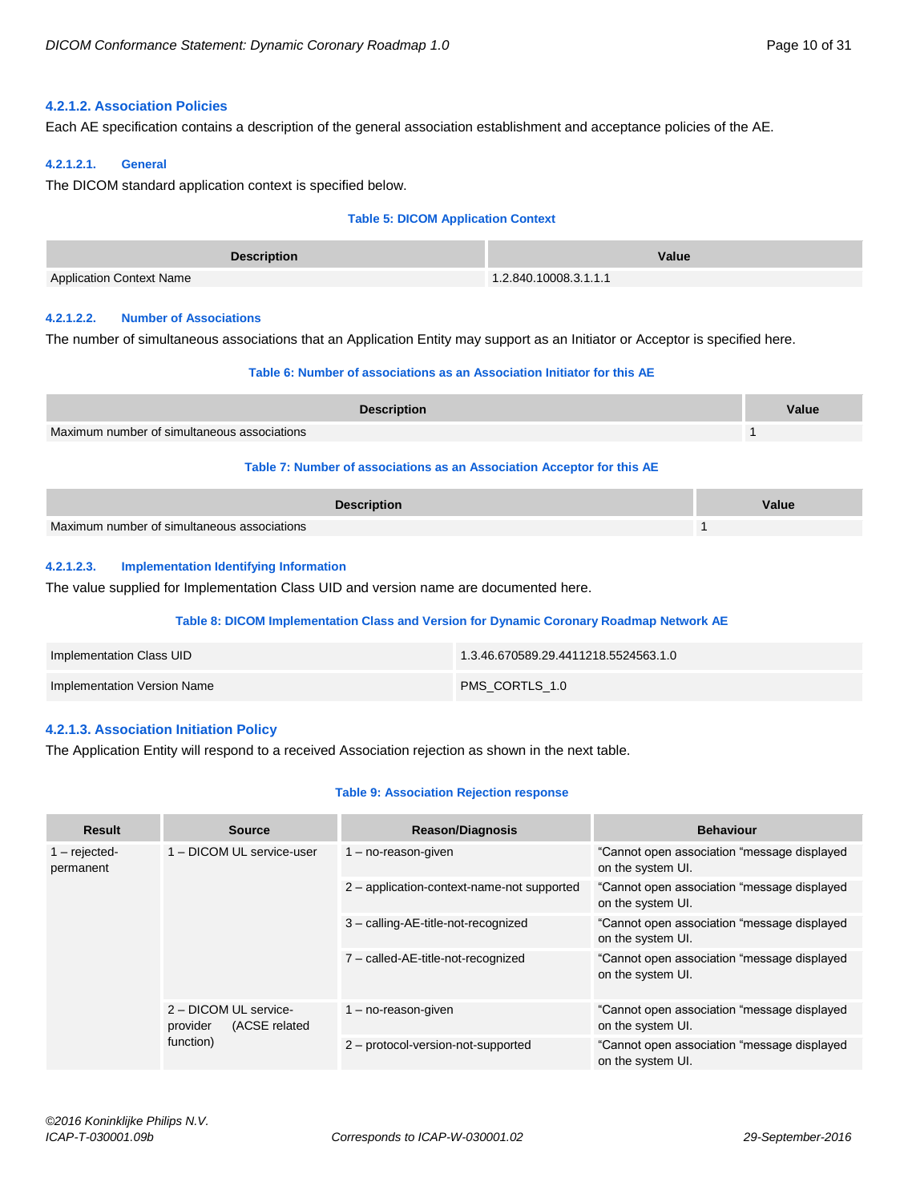## <span id="page-9-0"></span>**4.2.1.2. Association Policies**

Each AE specification contains a description of the general association establishment and acceptance policies of the AE.

#### <span id="page-9-1"></span>**4.2.1.2.1. General**

The DICOM standard application context is specified below.

#### **Table 5: DICOM Application Context**

| <b>Description</b>              | Value                 |
|---------------------------------|-----------------------|
| <b>Application Context Name</b> | 1.2.840.10008.3.1.1.1 |

### <span id="page-9-2"></span>**4.2.1.2.2. Number of Associations**

The number of simultaneous associations that an Application Entity may support as an Initiator or Acceptor is specified here.

#### **Table 6: Number of associations as an Association Initiator for this AE**

| <b>Description</b>                          | Value |
|---------------------------------------------|-------|
| Maximum number of simultaneous associations |       |

## **Table 7: Number of associations as an Association Acceptor for this AE**

| <b>Description</b>                          | Value |
|---------------------------------------------|-------|
| Maximum number of simultaneous associations |       |

### <span id="page-9-3"></span>**4.2.1.2.3. Implementation Identifying Information**

The value supplied for Implementation Class UID and version name are documented here.

#### **Table 8: DICOM Implementation Class and Version for Dynamic Coronary Roadmap Network AE**

| Implementation Class UID    | 1.3.46.670589.29.4411218.5524563.1.0 |
|-----------------------------|--------------------------------------|
| Implementation Version Name | PMS CORTLS 1.0                       |

## <span id="page-9-4"></span>**4.2.1.3. Association Initiation Policy**

The Application Entity will respond to a received Association rejection as shown in the next table.

#### **Table 9: Association Rejection response**

| <b>Result</b>                | <b>Source</b>                                                   | <b>Reason/Diagnosis</b>                    | <b>Behaviour</b>                                                  |
|------------------------------|-----------------------------------------------------------------|--------------------------------------------|-------------------------------------------------------------------|
| $1 -$ rejected-<br>permanent | 1 - DICOM UL service-user                                       | $1 - no$ -reason-given                     | "Cannot open association "message displayed"<br>on the system UI. |
|                              |                                                                 | 2 - application-context-name-not supported | "Cannot open association "message displayed"<br>on the system UI. |
|                              |                                                                 | 3 - calling-AE-title-not-recognized        | "Cannot open association "message displayed<br>on the system UI.  |
|                              |                                                                 | 7 - called-AE-title-not-recognized         | "Cannot open association "message displayed"<br>on the system UI. |
|                              | 2 - DICOM UL service-<br>(ACSE related<br>provider<br>function) | 1 – no-reason-given                        | "Cannot open association "message displayed"<br>on the system UI. |
|                              |                                                                 | 2 - protocol-version-not-supported         | "Cannot open association "message displayed"<br>on the system UI. |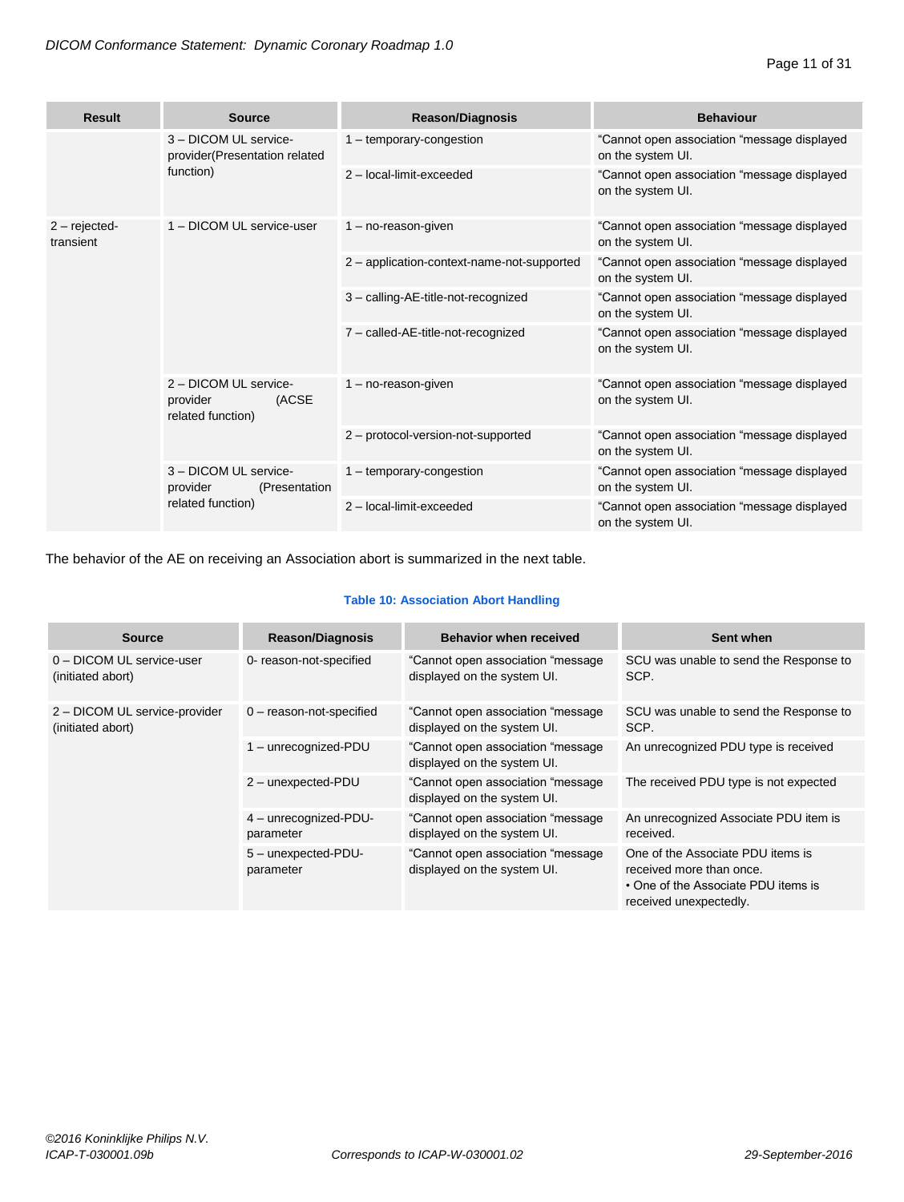| <b>Result</b>               | <b>Source</b>                                                           | <b>Reason/Diagnosis</b>                    | <b>Behaviour</b>                                                 |
|-----------------------------|-------------------------------------------------------------------------|--------------------------------------------|------------------------------------------------------------------|
|                             | 3 - DICOM UL service-<br>provider(Presentation related<br>function)     | 1 - temporary-congestion                   | "Cannot open association "message displayed<br>on the system UI. |
|                             |                                                                         | 2 - local-limit-exceeded                   | "Cannot open association "message displayed<br>on the system UI. |
| $2 - rejected$<br>transient | 1 - DICOM UL service-user                                               | $1 - no$ -reason-given                     | "Cannot open association "message displayed<br>on the system UI. |
|                             |                                                                         | 2 - application-context-name-not-supported | "Cannot open association "message displayed<br>on the system UI. |
|                             |                                                                         | 3 - calling-AE-title-not-recognized        | "Cannot open association "message displayed<br>on the system UI. |
|                             |                                                                         | 7 - called-AE-title-not-recognized         | "Cannot open association "message displayed<br>on the system UI. |
|                             | 2 - DICOM UL service-<br>(ACSE<br>provider<br>related function)         | $1 - no$ -reason-given                     | "Cannot open association "message displayed<br>on the system UI. |
|                             |                                                                         | 2 - protocol-version-not-supported         | "Cannot open association "message displayed<br>on the system UI. |
|                             | 3 - DICOM UL service-<br>provider<br>(Presentation<br>related function) | 1 - temporary-congestion                   | "Cannot open association "message displayed<br>on the system UI. |
|                             |                                                                         | 2 - local-limit-exceeded                   | "Cannot open association "message displayed<br>on the system UI. |

The behavior of the AE on receiving an Association abort is summarized in the next table.

## **Table 10: Association Abort Handling**

| Source                                             | <b>Reason/Diagnosis</b>            | <b>Behavior when received</b>                                     | Sent when                                                                                                                      |
|----------------------------------------------------|------------------------------------|-------------------------------------------------------------------|--------------------------------------------------------------------------------------------------------------------------------|
| 0 - DICOM UL service-user<br>(initiated abort)     | 0- reason-not-specified            | "Cannot open association "message"<br>displayed on the system UI. | SCU was unable to send the Response to<br>SCP.                                                                                 |
| 2 - DICOM UL service-provider<br>(initiated abort) | $0$ – reason-not-specified         | "Cannot open association "message"<br>displayed on the system UI. | SCU was unable to send the Response to<br>SCP.                                                                                 |
|                                                    | 1 - unrecognized-PDU               | "Cannot open association "message"<br>displayed on the system UI. | An unrecognized PDU type is received                                                                                           |
|                                                    | 2 - unexpected-PDU                 | "Cannot open association "message"<br>displayed on the system UI. | The received PDU type is not expected                                                                                          |
|                                                    | 4 - unrecognized-PDU-<br>parameter | "Cannot open association "message"<br>displayed on the system UI. | An unrecognized Associate PDU item is<br>received.                                                                             |
|                                                    | 5 - unexpected-PDU-<br>parameter   | "Cannot open association "message"<br>displayed on the system UI. | One of the Associate PDU items is<br>received more than once.<br>• One of the Associate PDU items is<br>received unexpectedly. |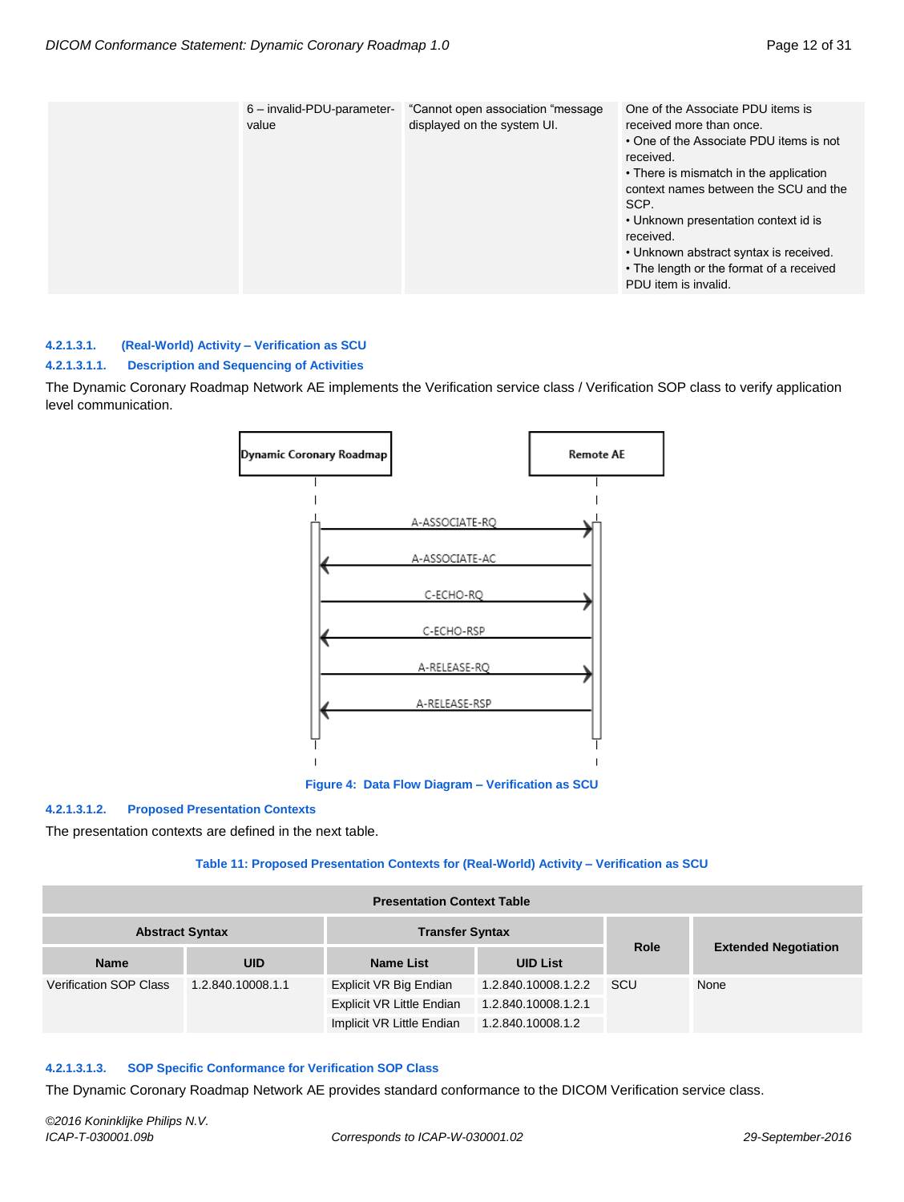| 6 - invalid-PDU-parameter-<br>value | "Cannot open association "message"<br>displayed on the system UI. | One of the Associate PDU items is<br>received more than once.<br>• One of the Associate PDU items is not<br>received.<br>• There is mismatch in the application<br>context names between the SCU and the<br>SCP.<br>• Unknown presentation context id is<br>received.<br>• Unknown abstract syntax is received.<br>• The length or the format of a received |
|-------------------------------------|-------------------------------------------------------------------|-------------------------------------------------------------------------------------------------------------------------------------------------------------------------------------------------------------------------------------------------------------------------------------------------------------------------------------------------------------|
|                                     |                                                                   | PDU item is invalid.                                                                                                                                                                                                                                                                                                                                        |

#### <span id="page-11-0"></span>**4.2.1.3.1. (Real-World) Activity – Verification as SCU**

#### **4.2.1.3.1.1. Description and Sequencing of Activities**

The Dynamic Coronary Roadmap Network AE implements the Verification service class / Verification SOP class to verify application level communication.



**Figure 4: Data Flow Diagram – Verification as SCU**

#### **4.2.1.3.1.2. Proposed Presentation Contexts**

The presentation contexts are defined in the next table.

#### **Table 11: Proposed Presentation Contexts for (Real-World) Activity – Verification as SCU**

| <b>Presentation Context Table</b> |                   |                           |                     |             |                             |  |
|-----------------------------------|-------------------|---------------------------|---------------------|-------------|-----------------------------|--|
| <b>Abstract Syntax</b>            |                   | <b>Transfer Syntax</b>    |                     |             |                             |  |
| <b>Name</b>                       | <b>UID</b>        | <b>Name List</b>          | <b>UID List</b>     | <b>Role</b> | <b>Extended Negotiation</b> |  |
| <b>Verification SOP Class</b>     | 1.2.840.10008.1.1 | Explicit VR Big Endian    | 1.2.840.10008.1.2.2 | <b>SCU</b>  | None                        |  |
|                                   |                   | Explicit VR Little Endian | 1.2.840.10008.1.2.1 |             |                             |  |
|                                   |                   | Implicit VR Little Endian | 1.2.840.10008.1.2   |             |                             |  |

## **4.2.1.3.1.3. SOP Specific Conformance for Verification SOP Class**

The Dynamic Coronary Roadmap Network AE provides standard conformance to the DICOM Verification service class.

*©2016 Koninklijke Philips N.V. ICAP-T-030001.09b Corresponds to ICAP-W-030001.02 29-September-2016*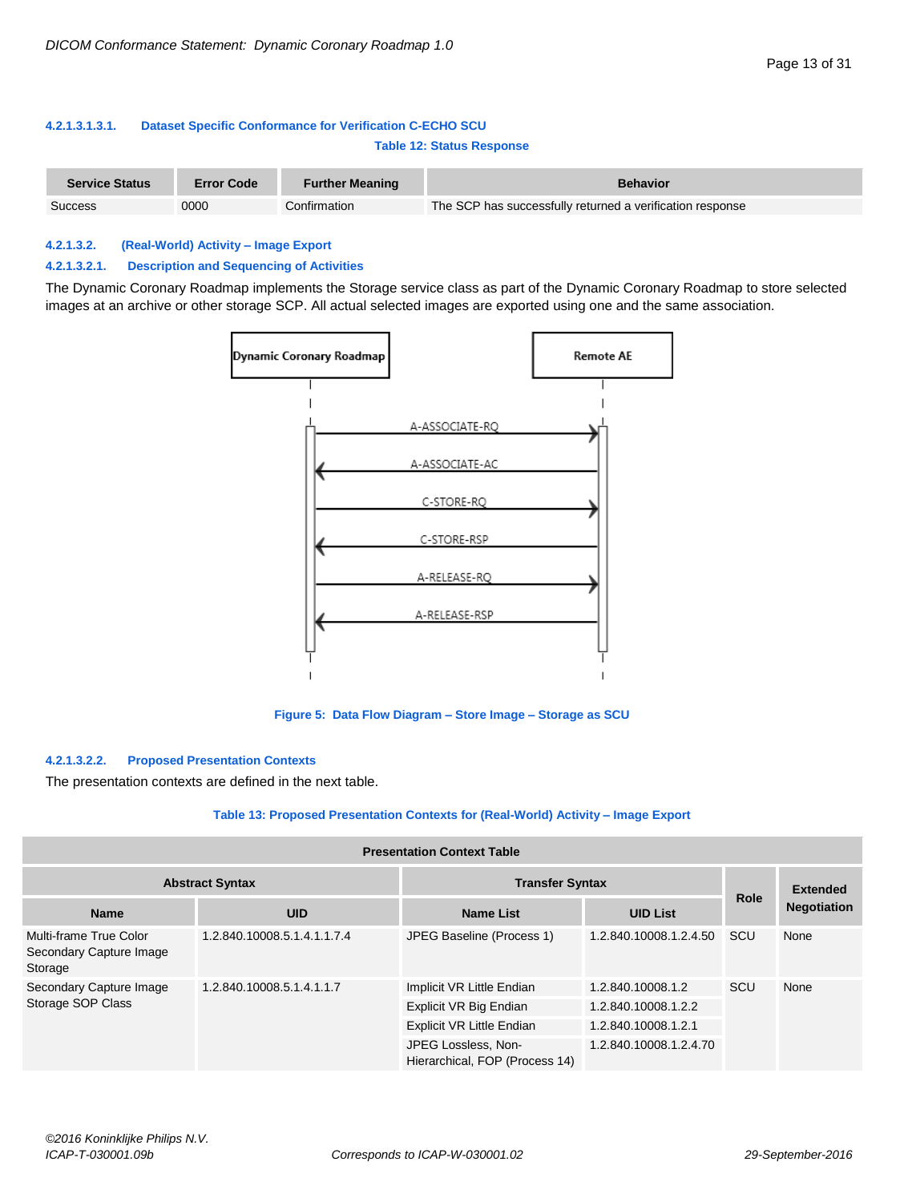## **4.2.1.3.1.3.1. Dataset Specific Conformance for Verification C-ECHO SCU Table 12: Status Response**

| <b>Service Status</b> | <b>Error Code</b> | <b>Further Meaning</b> | <b>Behavior</b>                                           |
|-----------------------|-------------------|------------------------|-----------------------------------------------------------|
| Success               | 0000              | Confirmation           | The SCP has successfully returned a verification response |

## <span id="page-12-0"></span>**4.2.1.3.2. (Real-World) Activity – Image Export**

## **4.2.1.3.2.1. Description and Sequencing of Activities**

The Dynamic Coronary Roadmap implements the Storage service class as part of the Dynamic Coronary Roadmap to store selected images at an archive or other storage SCP. All actual selected images are exported using one and the same association.



**Figure 5: Data Flow Diagram – Store Image – Storage as SCU**

## **4.2.1.3.2.2. Proposed Presentation Contexts**

The presentation contexts are defined in the next table.

#### **Table 13: Proposed Presentation Contexts for (Real-World) Activity – Image Export**

| <b>Presentation Context Table</b>                            |                             |                                                       |                        |             |                    |
|--------------------------------------------------------------|-----------------------------|-------------------------------------------------------|------------------------|-------------|--------------------|
|                                                              | <b>Abstract Syntax</b>      | <b>Transfer Syntax</b>                                |                        |             | <b>Extended</b>    |
| <b>Name</b>                                                  | <b>UID</b>                  | <b>Name List</b>                                      | <b>UID List</b>        | <b>Role</b> | <b>Negotiation</b> |
| Multi-frame True Color<br>Secondary Capture Image<br>Storage | 1.2.840.10008.5.1.4.1.1.7.4 | JPEG Baseline (Process 1)                             | 1.2.840.10008.1.2.4.50 | <b>SCU</b>  | None               |
| Secondary Capture Image<br>Storage SOP Class                 | 1.2.840.10008.5.1.4.1.1.7   | Implicit VR Little Endian                             | 1.2.840.10008.1.2      | SCU         | None               |
|                                                              |                             | Explicit VR Big Endian                                | 1.2.840.10008.1.2.2    |             |                    |
|                                                              |                             | <b>Explicit VR Little Endian</b>                      | 1.2.840.10008.1.2.1    |             |                    |
|                                                              |                             | JPEG Lossless, Non-<br>Hierarchical, FOP (Process 14) | 1.2.840.10008.1.2.4.70 |             |                    |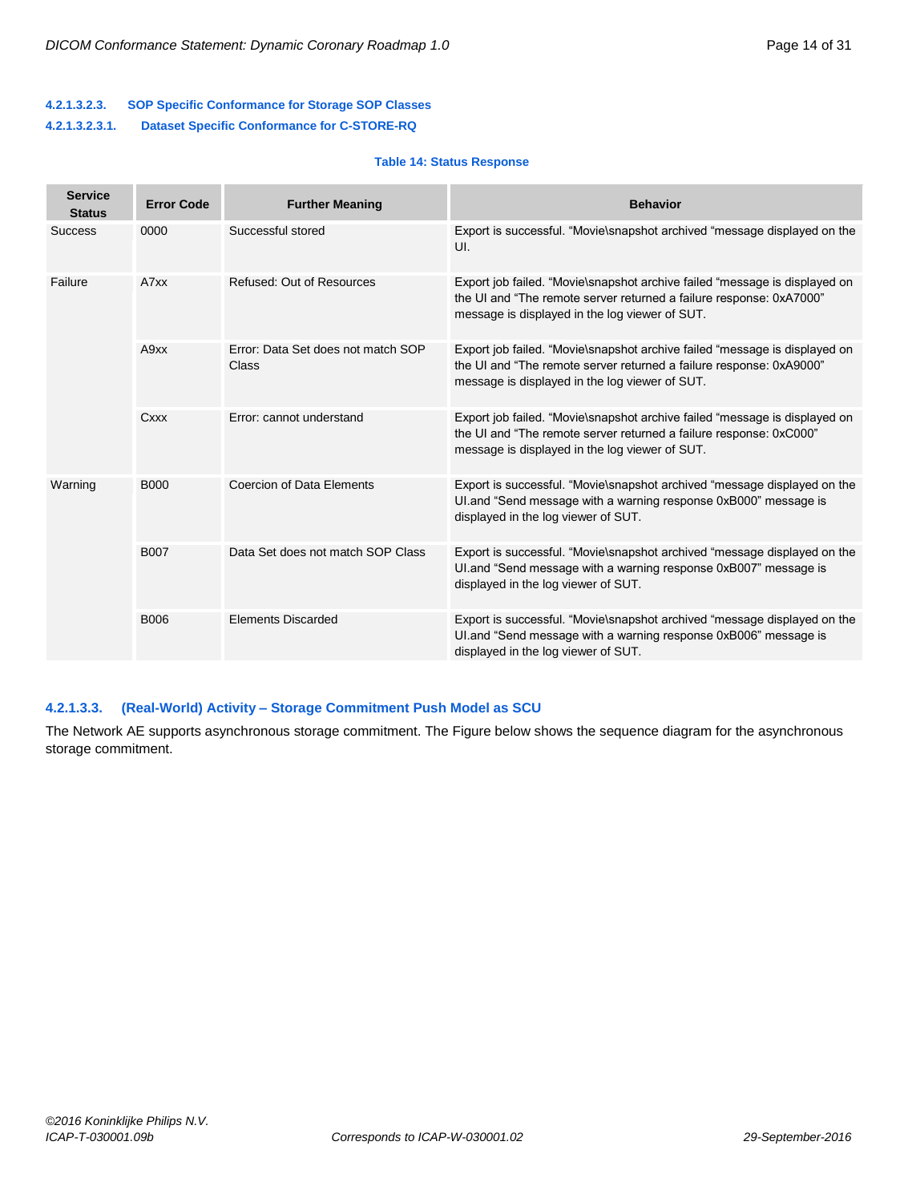## **4.2.1.3.2.3. SOP Specific Conformance for Storage SOP Classes 4.2.1.3.2.3.1. Dataset Specific Conformance for C-STORE-RQ**

### **Table 14: Status Response**

| <b>Service</b><br><b>Status</b> | <b>Error Code</b> | <b>Further Meaning</b>                             | <b>Behavior</b>                                                                                                                                                                                     |
|---------------------------------|-------------------|----------------------------------------------------|-----------------------------------------------------------------------------------------------------------------------------------------------------------------------------------------------------|
| <b>Success</b>                  | 0000              | Successful stored                                  | Export is successful. "Movie\snapshot archived "message displayed on the<br>UI.                                                                                                                     |
| Failure                         | A7xx              | Refused: Out of Resources                          | Export job failed. "Movie\snapshot archive failed "message is displayed on<br>the UI and "The remote server returned a failure response: 0xA7000"<br>message is displayed in the log viewer of SUT. |
|                                 | A9xx              | Error: Data Set does not match SOP<br><b>Class</b> | Export job failed. "Movie\snapshot archive failed "message is displayed on<br>the UI and "The remote server returned a failure response: 0xA9000"<br>message is displayed in the log viewer of SUT. |
|                                 | Cxxx              | Error: cannot understand                           | Export job failed. "Movie\snapshot archive failed "message is displayed on<br>the UI and "The remote server returned a failure response: 0xC000"<br>message is displayed in the log viewer of SUT.  |
| Warning                         | <b>B000</b>       | Coercion of Data Elements                          | Export is successful. "Movie\snapshot archived "message displayed on the<br>UI and "Send message with a warning response 0xB000" message is<br>displayed in the log viewer of SUT.                  |
|                                 | <b>B007</b>       | Data Set does not match SOP Class                  | Export is successful. "Movie\snapshot archived "message displayed on the<br>UI and "Send message with a warning response 0xB007" message is<br>displayed in the log viewer of SUT.                  |
|                                 | <b>B006</b>       | <b>Elements Discarded</b>                          | Export is successful. "Movie\snapshot archived "message displayed on the<br>UI.and "Send message with a warning response 0xB006" message is<br>displayed in the log viewer of SUT.                  |

## <span id="page-13-0"></span>**4.2.1.3.3. (Real-World) Activity – Storage Commitment Push Model as SCU**

The Network AE supports asynchronous storage commitment. The Figure below shows the sequence diagram for the asynchronous storage commitment.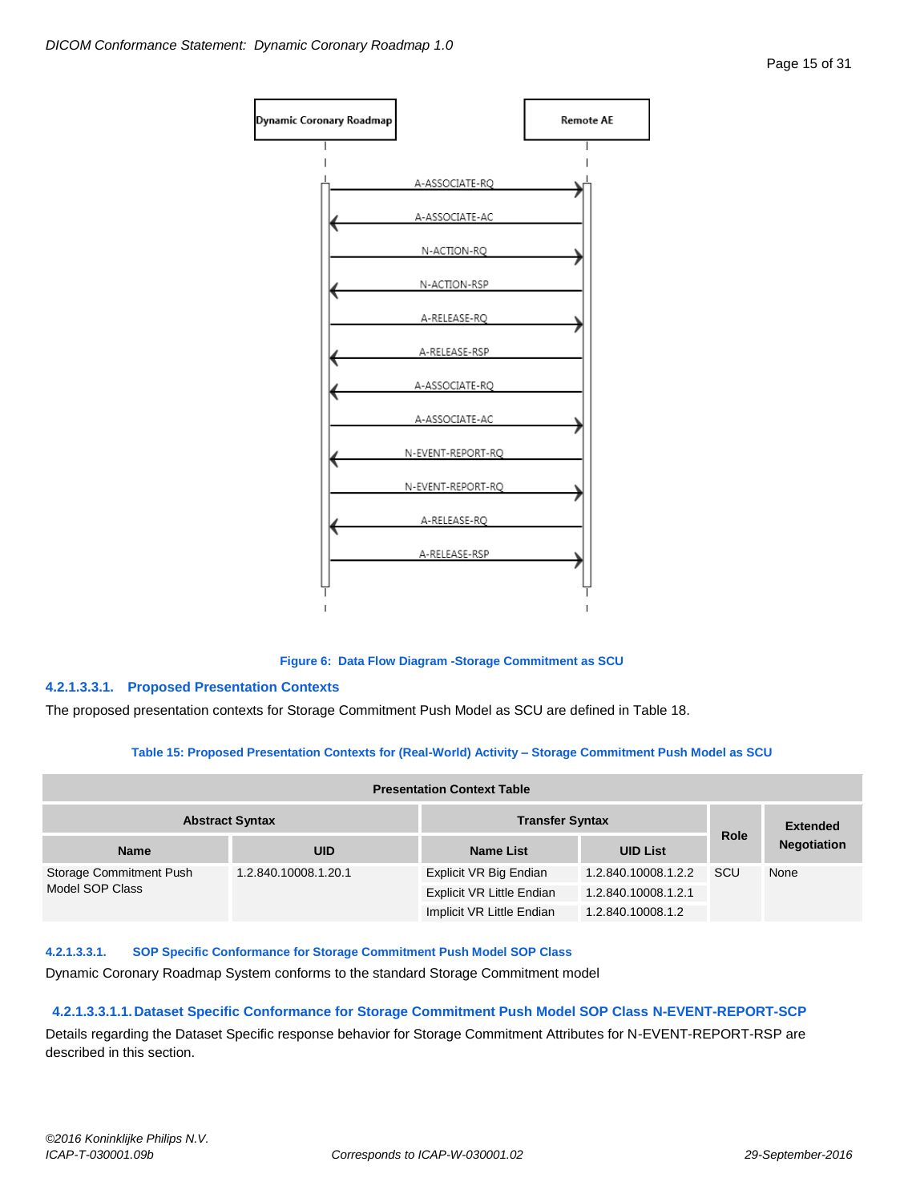

**Figure 6: Data Flow Diagram -Storage Commitment as SCU**

## **4.2.1.3.3.1. Proposed Presentation Contexts**

The proposed presentation contexts for Storage Commitment Push Model as SCU are defined in Table 18.

## **Table 15: Proposed Presentation Contexts for (Real-World) Activity – Storage Commitment Push Model as SCU**

| <b>Presentation Context Table</b> |                      |                                  |                     |             |                    |
|-----------------------------------|----------------------|----------------------------------|---------------------|-------------|--------------------|
| <b>Abstract Syntax</b>            |                      | <b>Transfer Syntax</b>           |                     |             | <b>Extended</b>    |
| <b>Name</b>                       | <b>UID</b>           | <b>Name List</b>                 | <b>UID List</b>     | <b>Role</b> | <b>Negotiation</b> |
| Storage Commitment Push           | 1.2.840.10008.1.20.1 | Explicit VR Big Endian           | 1.2.840.10008.1.2.2 | scu         | None               |
| Model SOP Class                   |                      | <b>Explicit VR Little Endian</b> | 1.2.840.10008.1.2.1 |             |                    |
|                                   |                      | Implicit VR Little Endian        | 1.2.840.10008.1.2   |             |                    |

## **4.2.1.3.3.1. SOP Specific Conformance for Storage Commitment Push Model SOP Class**

Dynamic Coronary Roadmap System conforms to the standard Storage Commitment model

## **4.2.1.3.3.1.1.Dataset Specific Conformance for Storage Commitment Push Model SOP Class N-EVENT-REPORT-SCP**

Details regarding the Dataset Specific response behavior for Storage Commitment Attributes for N-EVENT-REPORT-RSP are described in this section.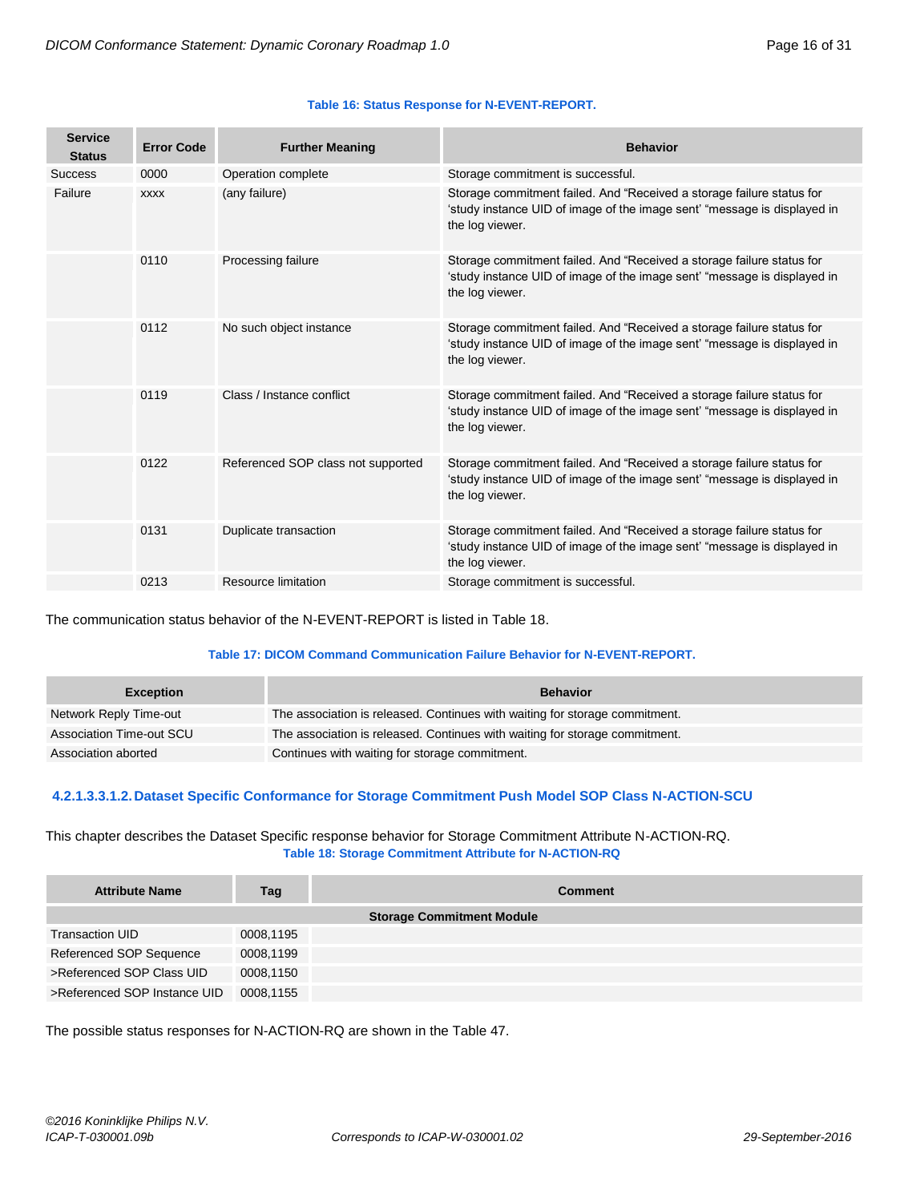### **Table 16: Status Response for N-EVENT-REPORT.**

| <b>Service</b><br><b>Status</b> | <b>Error Code</b> | <b>Further Meaning</b>             | <b>Behavior</b>                                                                                                                                                      |
|---------------------------------|-------------------|------------------------------------|----------------------------------------------------------------------------------------------------------------------------------------------------------------------|
| <b>Success</b>                  | 0000              | Operation complete                 | Storage commitment is successful.                                                                                                                                    |
| Failure                         | <b>XXXX</b>       | (any failure)                      | Storage commitment failed. And "Received a storage failure status for<br>'study instance UID of image of the image sent' "message is displayed in<br>the log viewer. |
|                                 | 0110              | Processing failure                 | Storage commitment failed. And "Received a storage failure status for<br>'study instance UID of image of the image sent' "message is displayed in<br>the log viewer. |
|                                 | 0112              | No such object instance            | Storage commitment failed. And "Received a storage failure status for<br>'study instance UID of image of the image sent' "message is displayed in<br>the log viewer. |
|                                 | 0119              | Class / Instance conflict          | Storage commitment failed. And "Received a storage failure status for<br>'study instance UID of image of the image sent' "message is displayed in<br>the log viewer. |
|                                 | 0122              | Referenced SOP class not supported | Storage commitment failed. And "Received a storage failure status for<br>'study instance UID of image of the image sent' "message is displayed in<br>the log viewer. |
|                                 | 0131              | Duplicate transaction              | Storage commitment failed. And "Received a storage failure status for<br>'study instance UID of image of the image sent' "message is displayed in<br>the log viewer. |
|                                 | 0213              | Resource limitation                | Storage commitment is successful.                                                                                                                                    |

The communication status behavior of the N-EVENT-REPORT is listed in Table 18.

## **Table 17: DICOM Command Communication Failure Behavior for N-EVENT-REPORT.**

| <b>Exception</b>         | <b>Behavior</b>                                                             |
|--------------------------|-----------------------------------------------------------------------------|
| Network Reply Time-out   | The association is released. Continues with waiting for storage commitment. |
| Association Time-out SCU | The association is released. Continues with waiting for storage commitment. |
| Association aborted      | Continues with waiting for storage commitment.                              |

## **4.2.1.3.3.1.2.Dataset Specific Conformance for Storage Commitment Push Model SOP Class N-ACTION-SCU**

## This chapter describes the Dataset Specific response behavior for Storage Commitment Attribute N-ACTION-RQ. **Table 18: Storage Commitment Attribute for N-ACTION-RQ**

| <b>Attribute Name</b>        | Tag       | <b>Comment</b>                   |
|------------------------------|-----------|----------------------------------|
|                              |           | <b>Storage Commitment Module</b> |
| <b>Transaction UID</b>       | 0008,1195 |                                  |
| Referenced SOP Sequence      | 0008,1199 |                                  |
| >Referenced SOP Class UID    | 0008,1150 |                                  |
| >Referenced SOP Instance UID | 0008,1155 |                                  |

The possible status responses for N-ACTION-RQ are shown in the Table 47.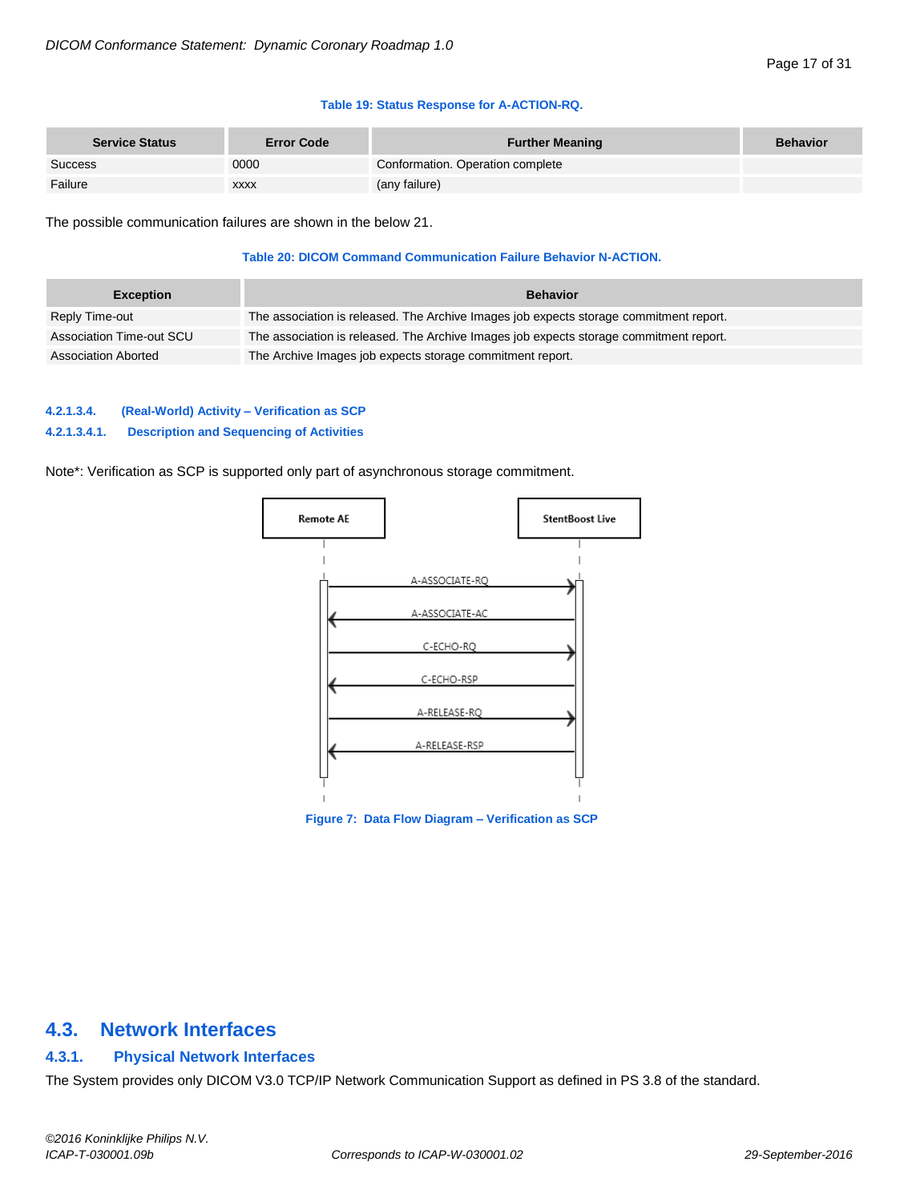#### **Table 19: Status Response for A-ACTION-RQ.**

| <b>Service Status</b> | <b>Error Code</b> | <b>Further Meaning</b>           | <b>Behavior</b> |
|-----------------------|-------------------|----------------------------------|-----------------|
| Success               | 0000              | Conformation. Operation complete |                 |
| Failure               | <b>XXXX</b>       | (any failure)                    |                 |

The possible communication failures are shown in the below 21.

#### **Table 20: DICOM Command Communication Failure Behavior N-ACTION.**

| <b>Exception</b>           | <b>Behavior</b>                                                                        |
|----------------------------|----------------------------------------------------------------------------------------|
| Reply Time-out             | The association is released. The Archive Images job expects storage commitment report. |
| Association Time-out SCU   | The association is released. The Archive Images job expects storage commitment report. |
| <b>Association Aborted</b> | The Archive Images job expects storage commitment report.                              |

## <span id="page-16-0"></span>**4.2.1.3.4. (Real-World) Activity – Verification as SCP**

## **4.2.1.3.4.1. Description and Sequencing of Activities**

Note\*: Verification as SCP is supported only part of asynchronous storage commitment.



**Figure 7: Data Flow Diagram – Verification as SCP**

## <span id="page-16-1"></span>**4.3. Network Interfaces**

## <span id="page-16-2"></span>**4.3.1. Physical Network Interfaces**

The System provides only DICOM V3.0 TCP/IP Network Communication Support as defined in PS 3.8 of the standard.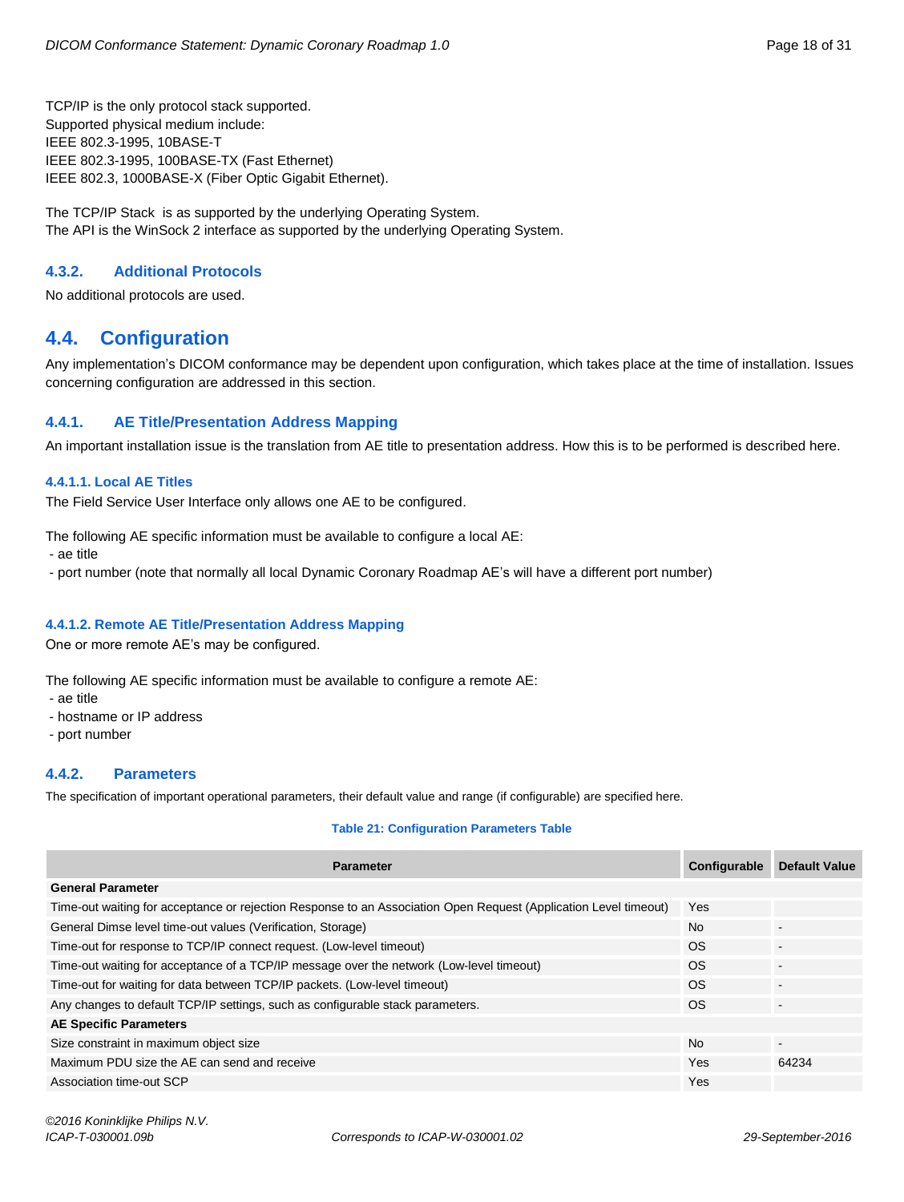TCP/IP is the only protocol stack supported. Supported physical medium include: IEEE 802.3-1995, 10BASE-T IEEE 802.3-1995, 100BASE-TX (Fast Ethernet) IEEE 802.3, 1000BASE-X (Fiber Optic Gigabit Ethernet).

The TCP/IP Stack is as supported by the underlying Operating System. The API is the WinSock 2 interface as supported by the underlying Operating System.

## <span id="page-17-0"></span>**4.3.2. Additional Protocols**

No additional protocols are used.

## <span id="page-17-1"></span>**4.4. Configuration**

Any implementation's DICOM conformance may be dependent upon configuration, which takes place at the time of installation. Issues concerning configuration are addressed in this section.

## <span id="page-17-2"></span>**4.4.1. AE Title/Presentation Address Mapping**

<span id="page-17-3"></span>An important installation issue is the translation from AE title to presentation address. How this is to be performed is described here.

## **4.4.1.1. Local AE Titles**

The Field Service User Interface only allows one AE to be configured.

The following AE specific information must be available to configure a local AE:

- ae title

- port number (note that normally all local Dynamic Coronary Roadmap AE's will have a different port number)

## <span id="page-17-4"></span>**4.4.1.2. Remote AE Title/Presentation Address Mapping**

One or more remote AE's may be configured.

The following AE specific information must be available to configure a remote AE:

- ae title
- hostname or IP address
- port number

## <span id="page-17-5"></span>**4.4.2. Parameters**

The specification of important operational parameters, their default value and range (if configurable) are specified here.

## **Table 21: Configuration Parameters Table**

| <b>Parameter</b>                                                                                                 | Configurable | <b>Default Value</b>     |
|------------------------------------------------------------------------------------------------------------------|--------------|--------------------------|
| <b>General Parameter</b>                                                                                         |              |                          |
| Time-out waiting for acceptance or rejection Response to an Association Open Request (Application Level timeout) | <b>Yes</b>   |                          |
| General Dimse level time-out values (Verification, Storage)                                                      | <b>No</b>    | $\blacksquare$           |
| Time-out for response to TCP/IP connect request. (Low-level timeout)                                             | OS.          |                          |
| Time-out waiting for acceptance of a TCP/IP message over the network (Low-level timeout)                         | OS.          |                          |
| Time-out for waiting for data between TCP/IP packets. (Low-level timeout)                                        | OS.          |                          |
| Any changes to default TCP/IP settings, such as configurable stack parameters.                                   | OS.          | $\overline{\phantom{a}}$ |
| <b>AE Specific Parameters</b>                                                                                    |              |                          |
| Size constraint in maximum object size                                                                           | <b>No</b>    | $\blacksquare$           |
| Maximum PDU size the AE can send and receive                                                                     | Yes          | 64234                    |
| Association time-out SCP                                                                                         | <b>Yes</b>   |                          |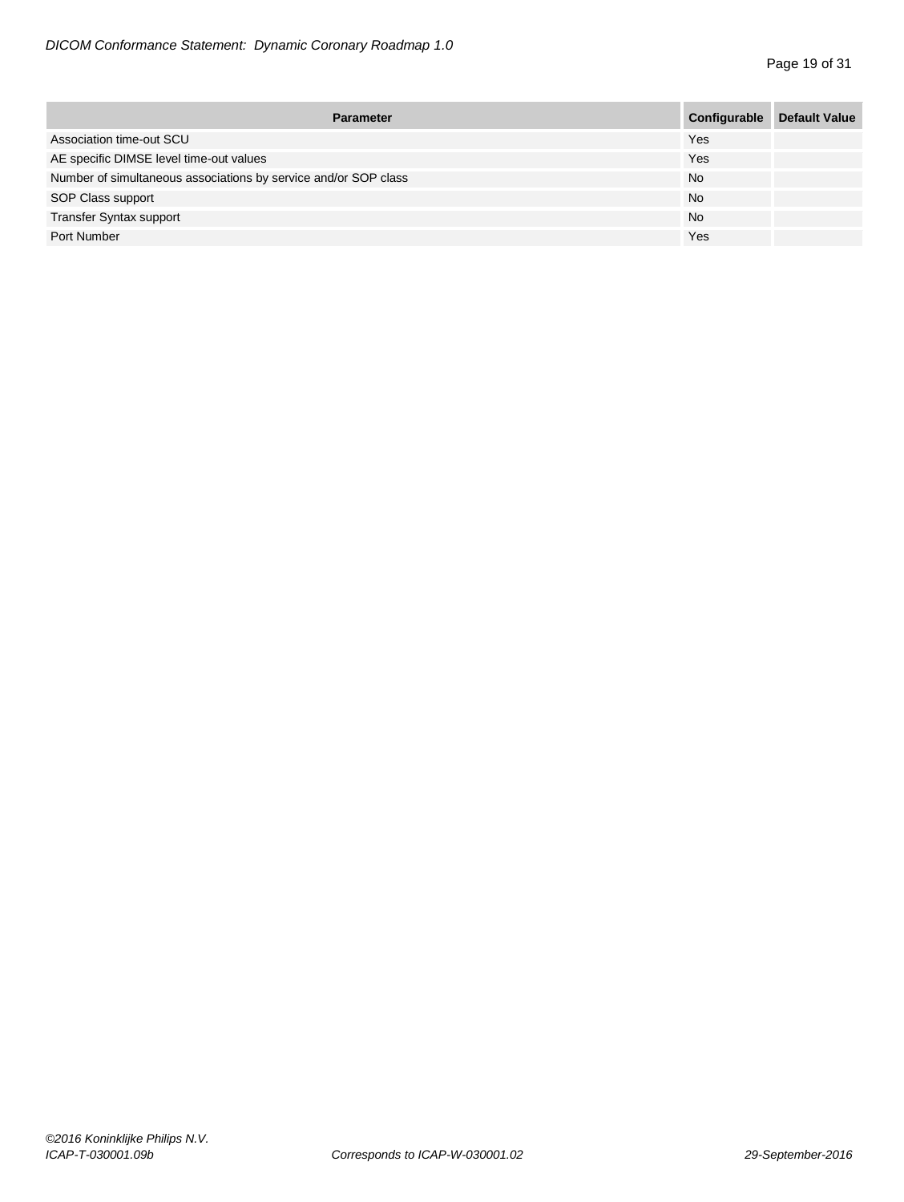| <b>Parameter</b>                                                | Configurable | <b>Default Value</b> |
|-----------------------------------------------------------------|--------------|----------------------|
| Association time-out SCU                                        | Yes          |                      |
| AE specific DIMSE level time-out values                         | Yes          |                      |
| Number of simultaneous associations by service and/or SOP class | <b>No</b>    |                      |
| SOP Class support                                               | <b>No</b>    |                      |
| <b>Transfer Syntax support</b>                                  | <b>No</b>    |                      |
| Port Number                                                     | Yes          |                      |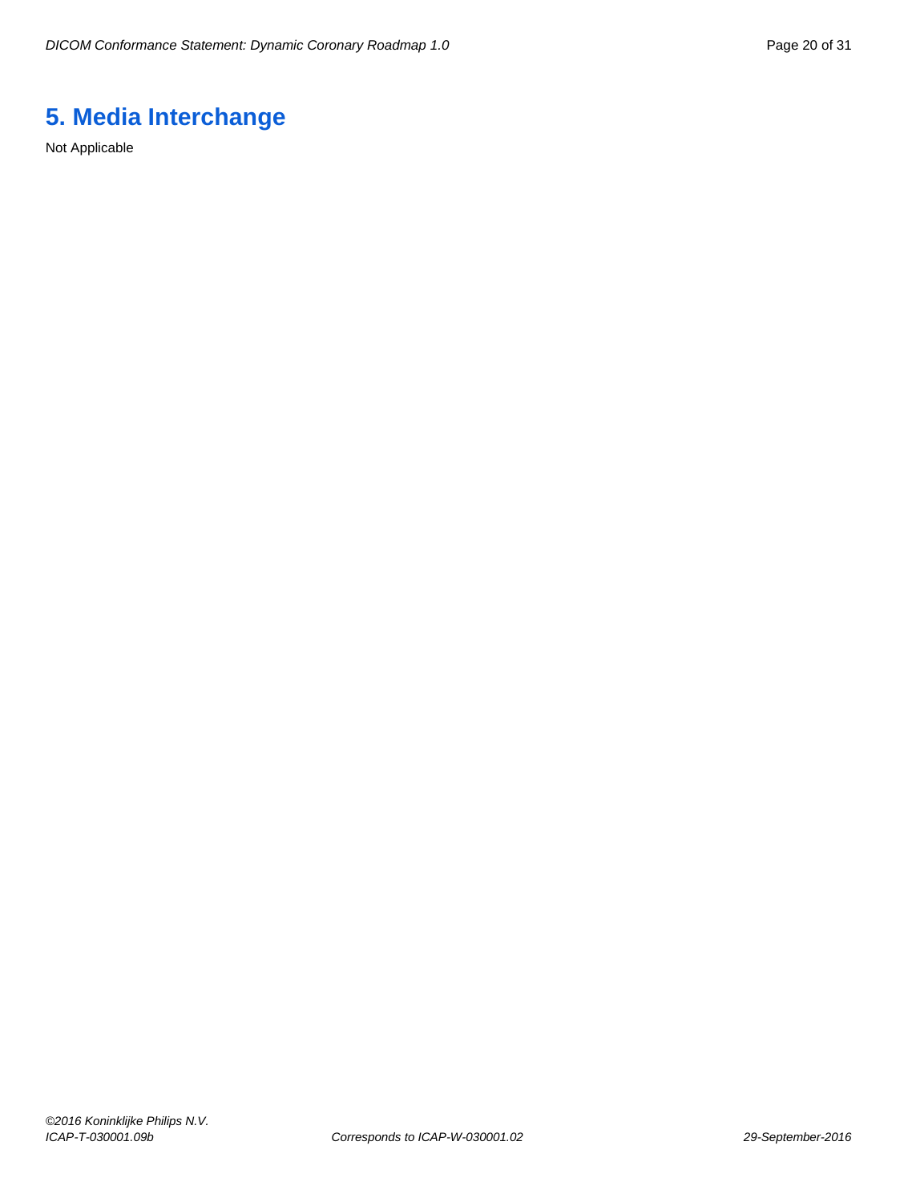## <span id="page-19-0"></span>**5. Media Interchange**

Not Applicable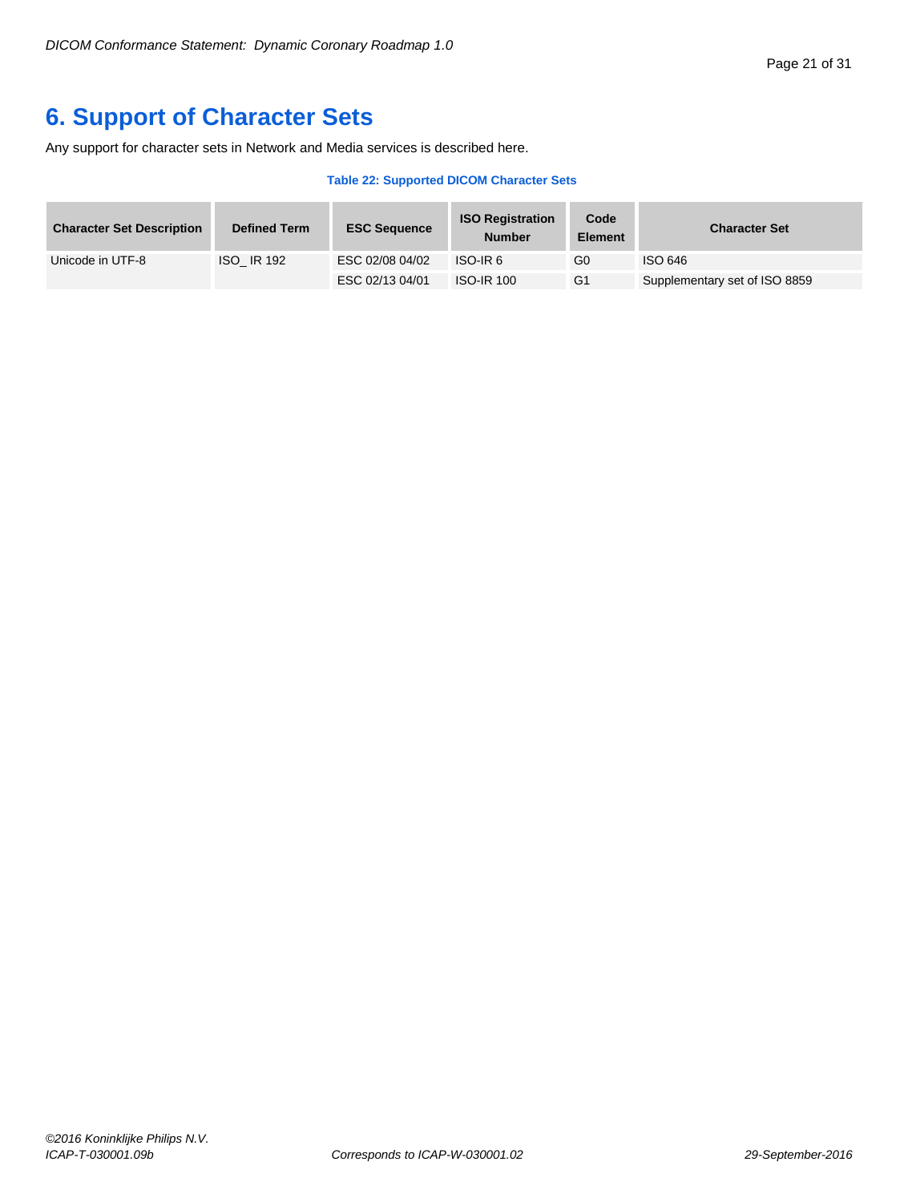## <span id="page-20-0"></span>**6. Support of Character Sets**

Any support for character sets in Network and Media services is described here.

#### **Table 22: Supported DICOM Character Sets**

| <b>Character Set Description</b> | <b>Defined Term</b> | <b>ESC Sequence</b> | <b>ISO Registration</b><br><b>Number</b> | Code<br><b>Element</b> | <b>Character Set</b>          |
|----------------------------------|---------------------|---------------------|------------------------------------------|------------------------|-------------------------------|
| Unicode in UTF-8                 | <b>ISO IR 192</b>   | ESC 02/08 04/02     | ISO-IR 6                                 | G0                     | ISO 646                       |
|                                  |                     | ESC 02/13 04/01     | <b>ISO-IR 100</b>                        | G <sub>1</sub>         | Supplementary set of ISO 8859 |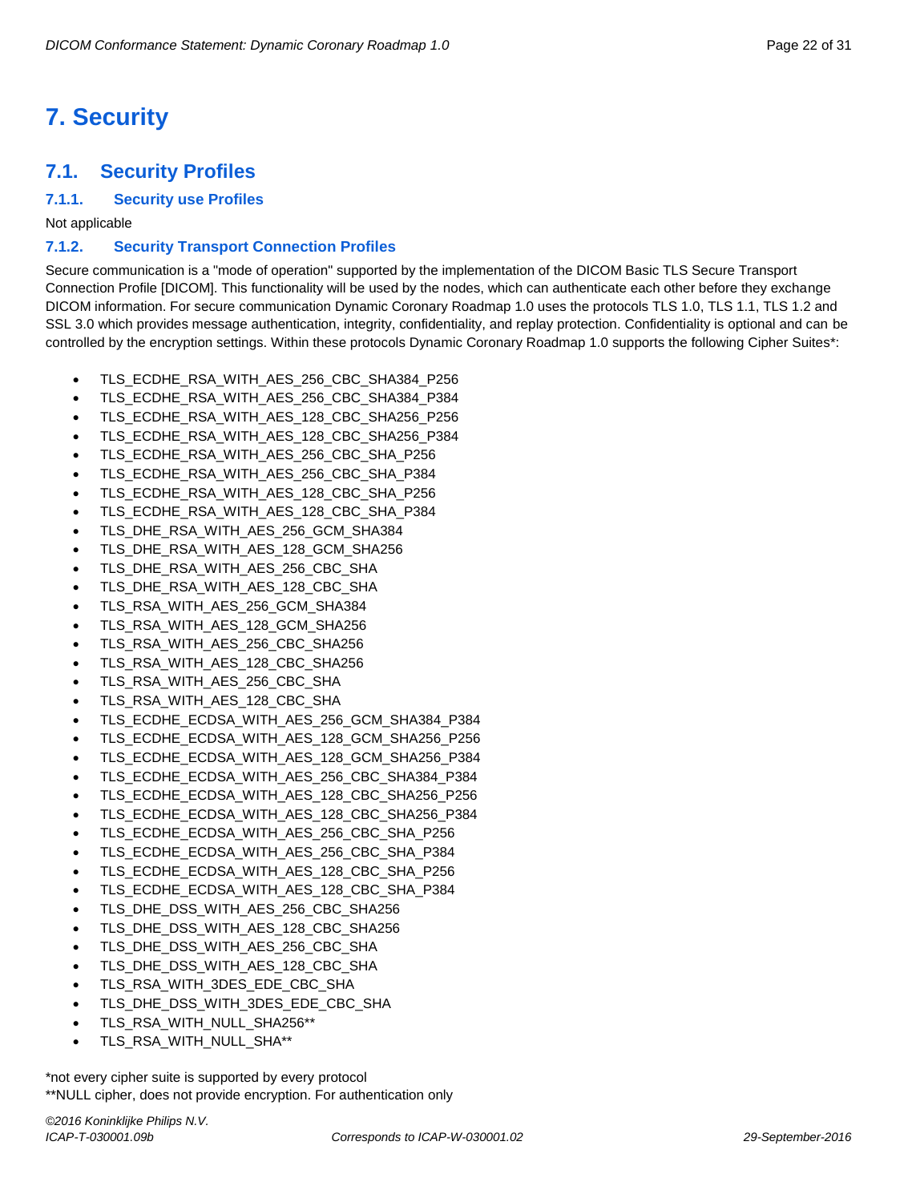## <span id="page-21-0"></span>**7. Security**

## <span id="page-21-1"></span>**7.1. Security Profiles**

## <span id="page-21-2"></span>**7.1.1. Security use Profiles**

Not applicable

## <span id="page-21-3"></span>**7.1.2. Security Transport Connection Profiles**

Secure communication is a "mode of operation" supported by the implementation of the DICOM Basic TLS Secure Transport Connection Profile [DICOM]. This functionality will be used by the nodes, which can authenticate each other before they exchange DICOM information. For secure communication Dynamic Coronary Roadmap 1.0 uses the protocols TLS 1.0, TLS 1.1, TLS 1.2 and SSL 3.0 which provides message authentication, integrity, confidentiality, and replay protection. Confidentiality is optional and can be controlled by the encryption settings. Within these protocols Dynamic Coronary Roadmap 1.0 supports the following Cipher Suites\*:

- TLS\_ECDHE\_RSA\_WITH\_AES\_256\_CBC\_SHA384\_P256
- TLS\_ECDHE\_RSA\_WITH\_AES\_256\_CBC\_SHA384\_P384
- TLS\_ECDHE\_RSA\_WITH\_AES\_128\_CBC\_SHA256\_P256
- TLS\_ECDHE\_RSA\_WITH\_AES\_128\_CBC\_SHA256\_P384
- TLS\_ECDHE\_RSA\_WITH\_AES\_256\_CBC\_SHA\_P256
- TLS\_ECDHE\_RSA\_WITH\_AES\_256\_CBC\_SHA\_P384
- TLS\_ECDHE\_RSA\_WITH\_AES\_128\_CBC\_SHA\_P256
- TLS\_ECDHE\_RSA\_WITH\_AES\_128\_CBC\_SHA\_P384
- TLS\_DHE\_RSA\_WITH\_AES\_256\_GCM\_SHA384
- TLS\_DHE\_RSA\_WITH\_AES\_128\_GCM\_SHA256
- TLS\_DHE\_RSA\_WITH\_AES\_256\_CBC\_SHA
- TLS\_DHE\_RSA\_WITH\_AES\_128\_CBC\_SHA
- TLS\_RSA\_WITH\_AES\_256\_GCM\_SHA384
- TLS\_RSA\_WITH\_AES\_128\_GCM\_SHA256
- TLS\_RSA\_WITH\_AES\_256\_CBC\_SHA256
- TLS\_RSA\_WITH\_AES\_128\_CBC\_SHA256
- TLS\_RSA\_WITH\_AES\_256\_CBC\_SHA
- TLS\_RSA\_WITH\_AES\_128\_CBC\_SHA
- TLS\_ECDHE\_ECDSA\_WITH\_AES\_256\_GCM\_SHA384\_P384
- TLS\_ECDHE\_ECDSA\_WITH\_AES\_128\_GCM\_SHA256\_P256
- TLS\_ECDHE\_ECDSA\_WITH\_AES\_128\_GCM\_SHA256\_P384
- TLS\_ECDHE\_ECDSA\_WITH\_AES\_256\_CBC\_SHA384\_P384
- TLS\_ECDHE\_ECDSA\_WITH\_AES\_128\_CBC\_SHA256\_P256
- TLS\_ECDHE\_ECDSA\_WITH\_AES\_128\_CBC\_SHA256\_P384
- TLS\_ECDHE\_ECDSA\_WITH\_AES\_256\_CBC\_SHA\_P256
- TLS\_ECDHE\_ECDSA\_WITH\_AES\_256\_CBC\_SHA\_P384
- TLS\_ECDHE\_ECDSA\_WITH\_AES\_128\_CBC\_SHA\_P256
- TLS\_ECDHE\_ECDSA\_WITH\_AES\_128\_CBC\_SHA\_P384
- TLS\_DHE\_DSS\_WITH\_AES\_256\_CBC\_SHA256
- TLS\_DHE\_DSS\_WITH\_AES\_128\_CBC\_SHA256
- TLS\_DHE\_DSS\_WITH\_AES\_256\_CBC\_SHA
- TLS\_DHE\_DSS\_WITH\_AES\_128\_CBC\_SHA
- TLS\_RSA\_WITH\_3DES\_EDE\_CBC\_SHA
- TLS\_DHE\_DSS\_WITH\_3DES\_EDE\_CBC\_SHA
- 
- TLS\_RSA\_WITH\_NULL\_SHA256\*\*
- TLS\_RSA\_WITH\_NULL\_SHA\*\*

\*not every cipher suite is supported by every protocol \*\*NULL cipher, does not provide encryption. For authentication only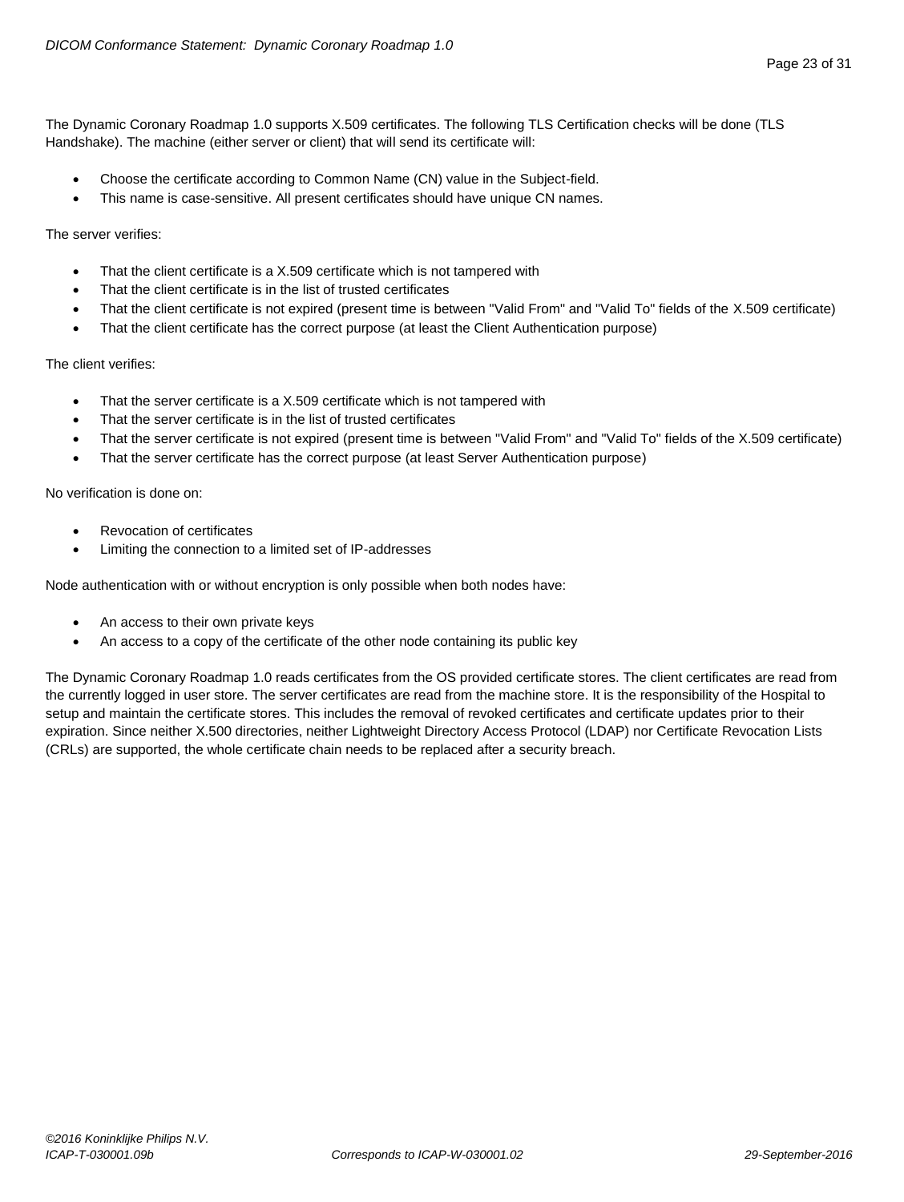The Dynamic Coronary Roadmap 1.0 supports X.509 certificates. The following TLS Certification checks will be done (TLS Handshake). The machine (either server or client) that will send its certificate will:

- Choose the certificate according to Common Name (CN) value in the Subject-field.
- This name is case-sensitive. All present certificates should have unique CN names.

The server verifies:

- That the client certificate is a X.509 certificate which is not tampered with
- That the client certificate is in the list of trusted certificates
- That the client certificate is not expired (present time is between "Valid From" and "Valid To" fields of the X.509 certificate)
- That the client certificate has the correct purpose (at least the Client Authentication purpose)

The client verifies:

- That the server certificate is a X.509 certificate which is not tampered with
- That the server certificate is in the list of trusted certificates
- That the server certificate is not expired (present time is between "Valid From" and "Valid To" fields of the X.509 certificate)
- That the server certificate has the correct purpose (at least Server Authentication purpose)

No verification is done on:

- Revocation of certificates
- Limiting the connection to a limited set of IP-addresses

Node authentication with or without encryption is only possible when both nodes have:

- An access to their own private keys
- An access to a copy of the certificate of the other node containing its public key

The Dynamic Coronary Roadmap 1.0 reads certificates from the OS provided certificate stores. The client certificates are read from the currently logged in user store. The server certificates are read from the machine store. It is the responsibility of the Hospital to setup and maintain the certificate stores. This includes the removal of revoked certificates and certificate updates prior to their expiration. Since neither X.500 directories, neither Lightweight Directory Access Protocol (LDAP) nor Certificate Revocation Lists (CRLs) are supported, the whole certificate chain needs to be replaced after a security breach.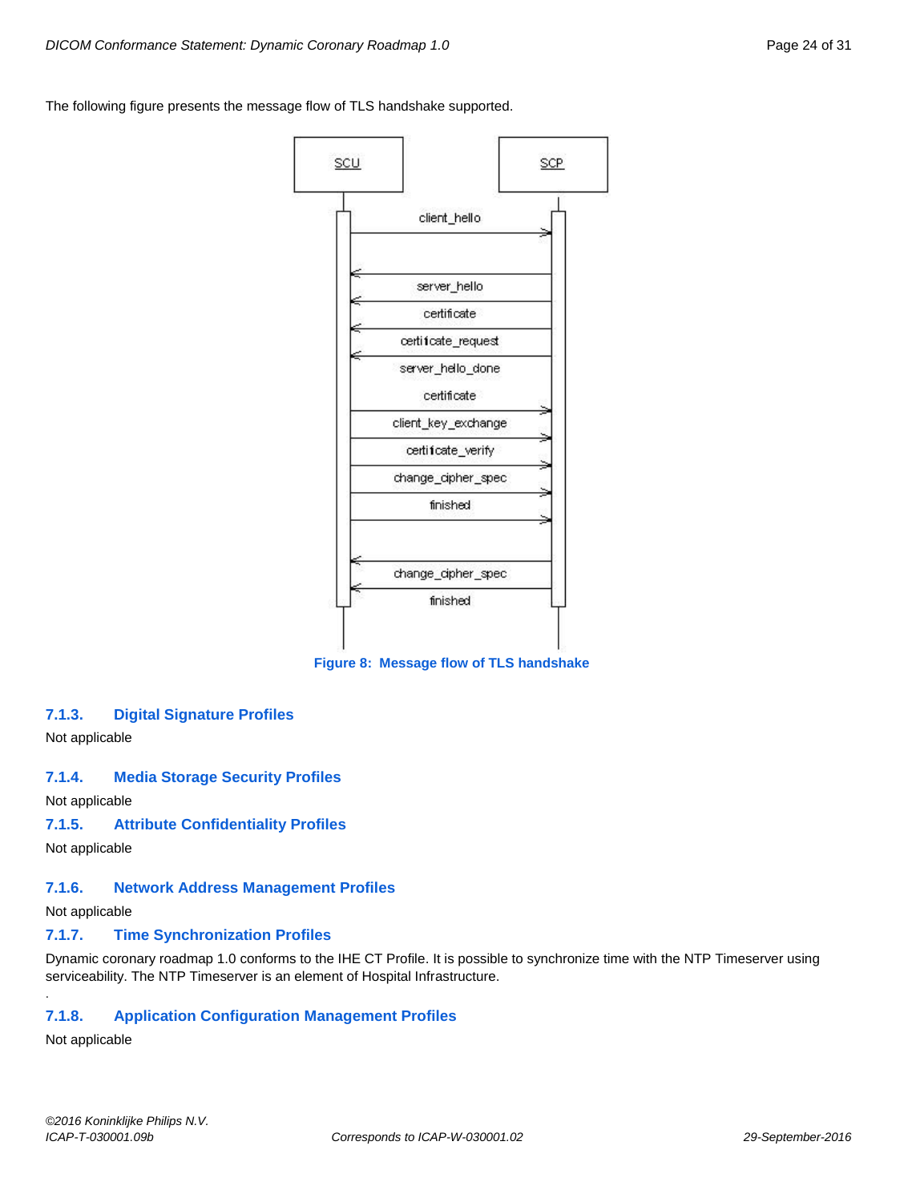The following figure presents the message flow of TLS handshake supported.



**Figure 8: Message flow of TLS handshake**

## <span id="page-23-0"></span>**7.1.3. Digital Signature Profiles**

Not applicable

## <span id="page-23-1"></span>**7.1.4. Media Storage Security Profiles**

Not applicable

## <span id="page-23-2"></span>**7.1.5. Attribute Confidentiality Profiles**

Not applicable

## <span id="page-23-3"></span>**7.1.6. Network Address Management Profiles**

Not applicable

## <span id="page-23-4"></span>**7.1.7. Time Synchronization Profiles**

Dynamic coronary roadmap 1.0 conforms to the IHE CT Profile. It is possible to synchronize time with the NTP Timeserver using serviceability. The NTP Timeserver is an element of Hospital Infrastructure.

## <span id="page-23-5"></span>**7.1.8. Application Configuration Management Profiles**

Not applicable

.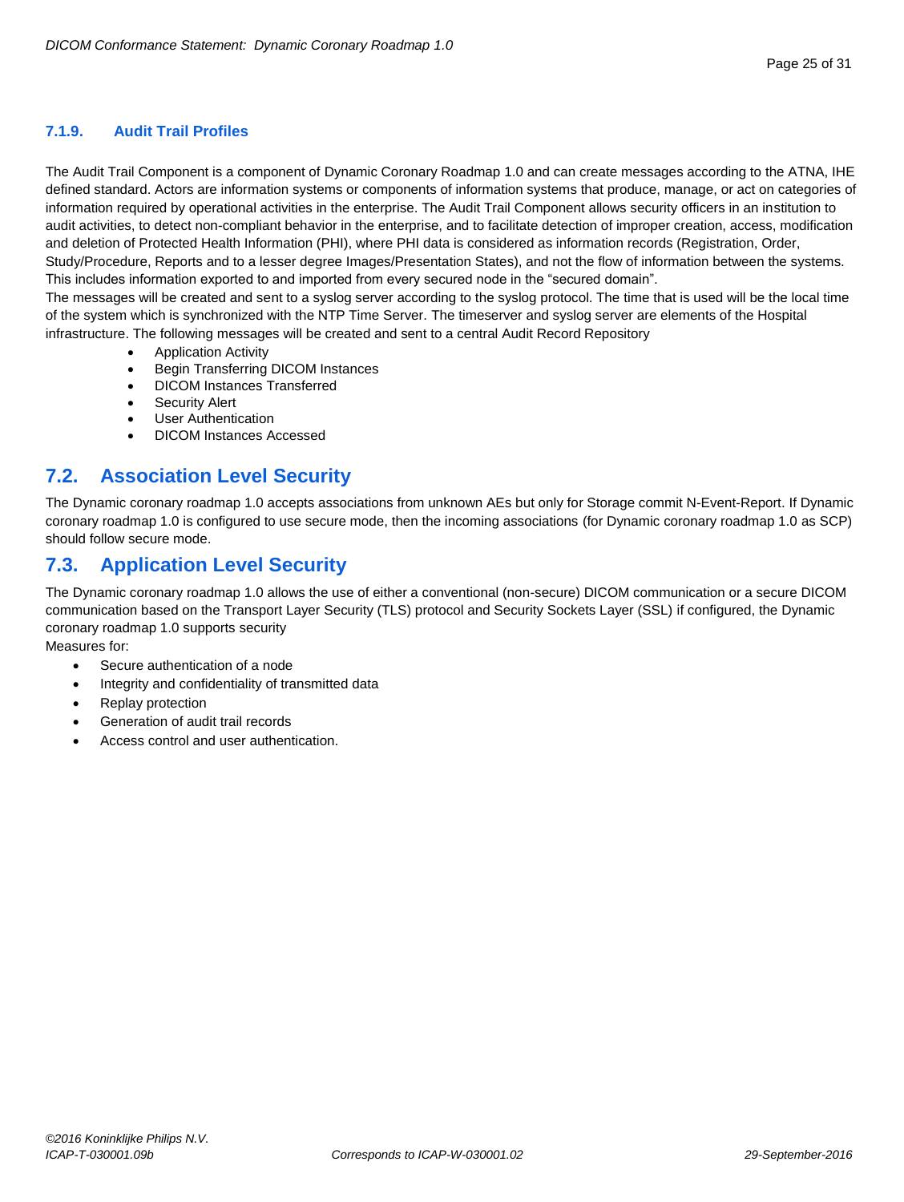## <span id="page-24-0"></span>**7.1.9. Audit Trail Profiles**

The Audit Trail Component is a component of Dynamic Coronary Roadmap 1.0 and can create messages according to the ATNA, IHE defined standard. Actors are information systems or components of information systems that produce, manage, or act on categories of information required by operational activities in the enterprise. The Audit Trail Component allows security officers in an institution to audit activities, to detect non-compliant behavior in the enterprise, and to facilitate detection of improper creation, access, modification and deletion of Protected Health Information (PHI), where PHI data is considered as information records (Registration, Order, Study/Procedure, Reports and to a lesser degree Images/Presentation States), and not the flow of information between the systems. This includes information exported to and imported from every secured node in the "secured domain".

The messages will be created and sent to a syslog server according to the syslog protocol. The time that is used will be the local time of the system which is synchronized with the NTP Time Server. The timeserver and syslog server are elements of the Hospital infrastructure. The following messages will be created and sent to a central Audit Record Repository

- Application Activity
- Begin Transferring DICOM Instances
- DICOM Instances Transferred
- Security Alert
- User Authentication
- DICOM Instances Accessed

## <span id="page-24-1"></span>**7.2. Association Level Security**

The Dynamic coronary roadmap 1.0 accepts associations from unknown AEs but only for Storage commit N-Event-Report. If Dynamic coronary roadmap 1.0 is configured to use secure mode, then the incoming associations (for Dynamic coronary roadmap 1.0 as SCP) should follow secure mode.

## <span id="page-24-2"></span>**7.3. Application Level Security**

The Dynamic coronary roadmap 1.0 allows the use of either a conventional (non-secure) DICOM communication or a secure DICOM communication based on the Transport Layer Security (TLS) protocol and Security Sockets Layer (SSL) if configured, the Dynamic coronary roadmap 1.0 supports security

Measures for:

- Secure authentication of a node
- Integrity and confidentiality of transmitted data
- Replay protection
- Generation of audit trail records
- Access control and user authentication.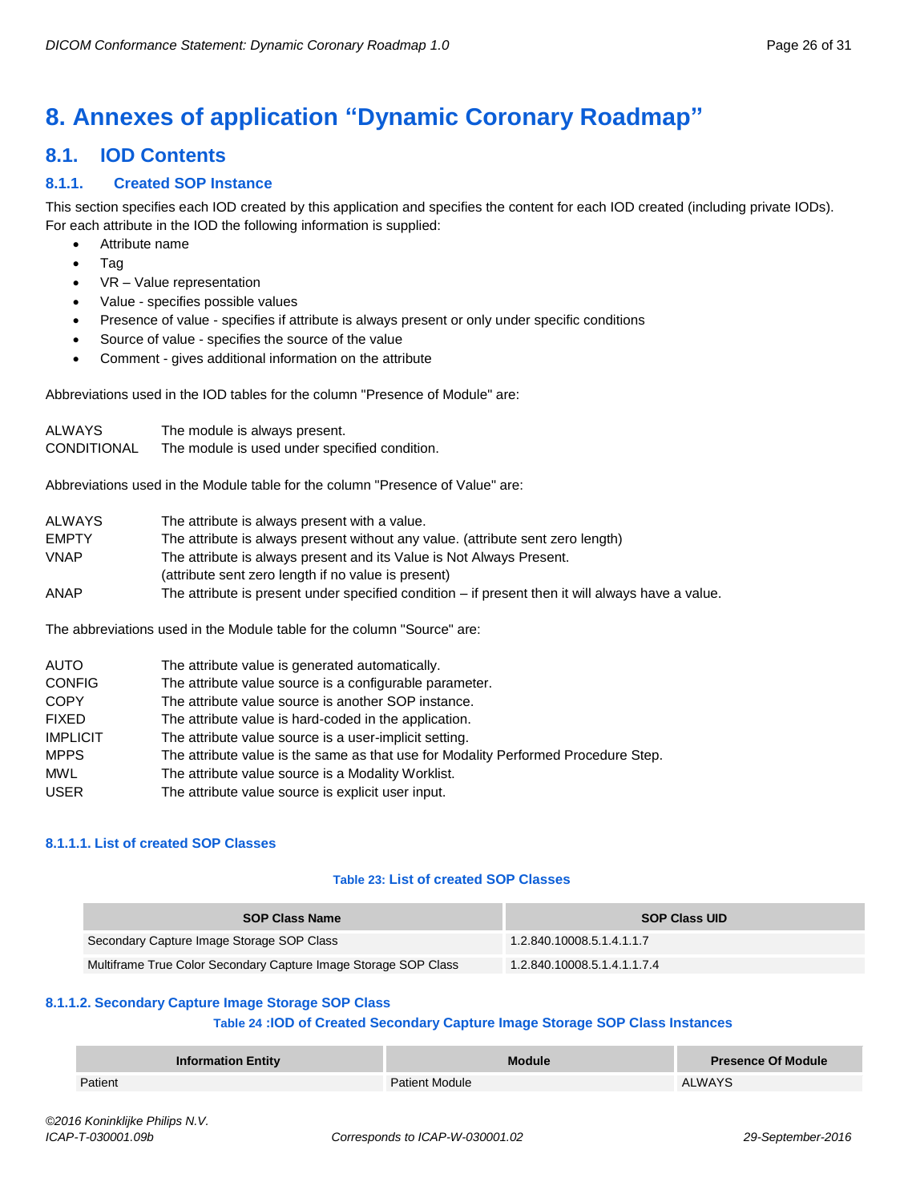## <span id="page-25-0"></span>**8. Annexes of application "Dynamic Coronary Roadmap"**

## <span id="page-25-1"></span>**8.1. IOD Contents**

## <span id="page-25-2"></span>**8.1.1. Created SOP Instance**

This section specifies each IOD created by this application and specifies the content for each IOD created (including private IODs). For each attribute in the IOD the following information is supplied:

- Attribute name
- Tag
- VR Value representation
- Value specifies possible values
- Presence of value specifies if attribute is always present or only under specific conditions
- Source of value specifies the source of the value
- Comment gives additional information on the attribute

Abbreviations used in the IOD tables for the column "Presence of Module" are:

| ALWAYS      | The module is always present.                 |
|-------------|-----------------------------------------------|
| CONDITIONAL | The module is used under specified condition. |

Abbreviations used in the Module table for the column "Presence of Value" are:

| <b>ALWAYS</b> | The attribute is always present with a value.                                                       |
|---------------|-----------------------------------------------------------------------------------------------------|
| <b>EMPTY</b>  | The attribute is always present without any value. (attribute sent zero length)                     |
| <b>VNAP</b>   | The attribute is always present and its Value is Not Always Present.                                |
|               | (attribute sent zero length if no value is present)                                                 |
| ANAP          | The attribute is present under specified condition $-$ if present then it will always have a value. |

The abbreviations used in the Module table for the column "Source" are:

| AUTO            | The attribute value is generated automatically.                                    |
|-----------------|------------------------------------------------------------------------------------|
| <b>CONFIG</b>   | The attribute value source is a configurable parameter.                            |
| <b>COPY</b>     | The attribute value source is another SOP instance.                                |
| <b>FIXED</b>    | The attribute value is hard-coded in the application.                              |
| <b>IMPLICIT</b> | The attribute value source is a user-implicit setting.                             |
| <b>MPPS</b>     | The attribute value is the same as that use for Modality Performed Procedure Step. |
| <b>MWL</b>      | The attribute value source is a Modality Worklist.                                 |
| <b>USER</b>     | The attribute value source is explicit user input.                                 |

## <span id="page-25-3"></span>**8.1.1.1. List of created SOP Classes**

## **Table 23: List of created SOP Classes**

| <b>SOP Class Name</b>                                           | <b>SOP Class UID</b>        |
|-----------------------------------------------------------------|-----------------------------|
| Secondary Capture Image Storage SOP Class                       | 1.2.840.10008.5.1.4.1.1.7   |
| Multiframe True Color Secondary Capture Image Storage SOP Class | 1.2.840.10008.5.1.4.1.1.7.4 |

## <span id="page-25-4"></span>**8.1.1.2. Secondary Capture Image Storage SOP Class**

## **Table 24 :IOD of Created Secondary Capture Image Storage SOP Class Instances**

| <b>Information Entity</b> | <b>Module</b>         | <b>Presence Of Module</b> |
|---------------------------|-----------------------|---------------------------|
| Patient                   | <b>Patient Module</b> | <b>ALWAYS</b>             |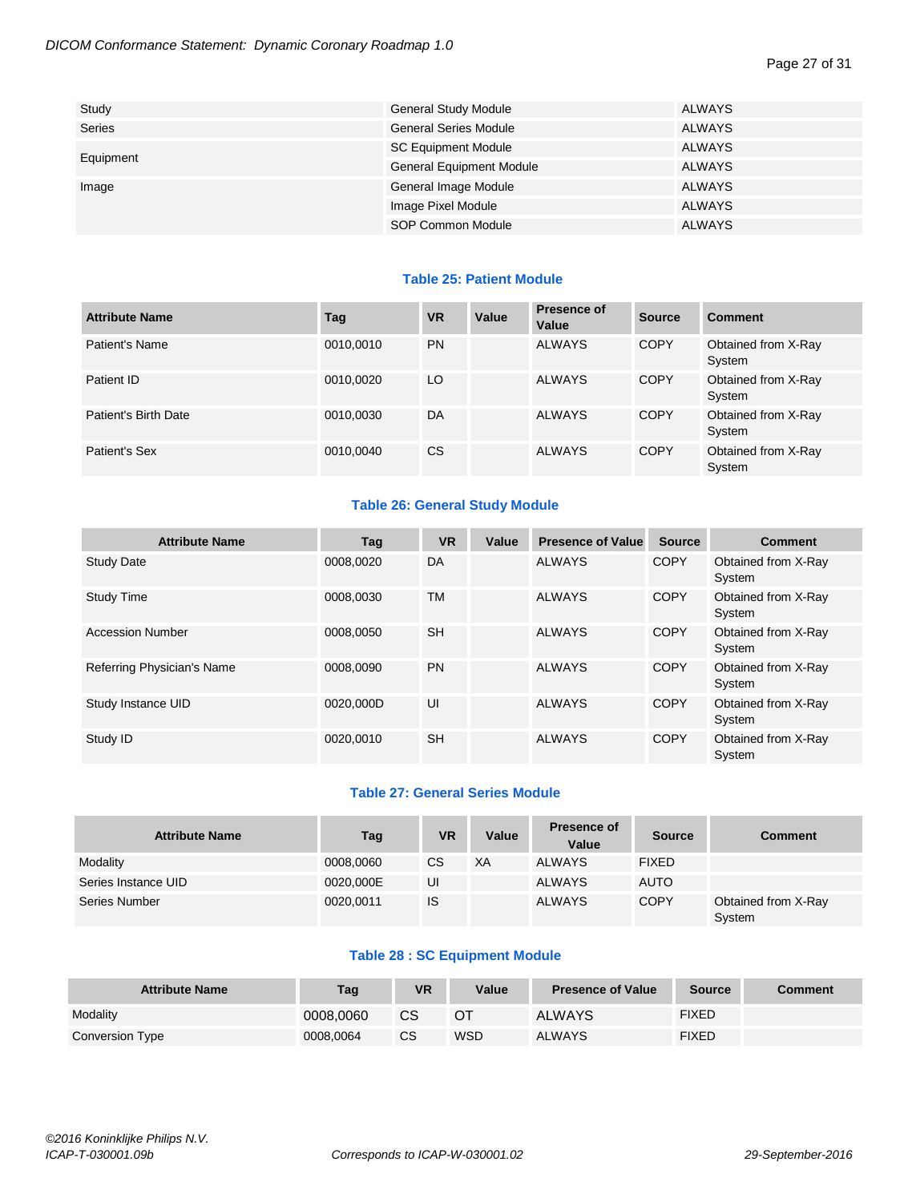| Study         | <b>General Study Module</b>     | ALWAYS |
|---------------|---------------------------------|--------|
| <b>Series</b> | <b>General Series Module</b>    | ALWAYS |
| Equipment     | <b>SC Equipment Module</b>      | ALWAYS |
|               | <b>General Equipment Module</b> | ALWAYS |
| Image         | General Image Module            | ALWAYS |
|               | Image Pixel Module              | ALWAYS |
|               | SOP Common Module               | ALWAYS |

## **Table 25: Patient Module**

| <b>Attribute Name</b> | Tag       | <b>VR</b> | Value | Presence of<br>Value | <b>Source</b> | <b>Comment</b>                |
|-----------------------|-----------|-----------|-------|----------------------|---------------|-------------------------------|
| Patient's Name        | 0010,0010 | <b>PN</b> |       | <b>ALWAYS</b>        | <b>COPY</b>   | Obtained from X-Ray<br>System |
| Patient ID            | 0010,0020 | LO        |       | <b>ALWAYS</b>        | <b>COPY</b>   | Obtained from X-Ray<br>System |
| Patient's Birth Date  | 0010,0030 | DA        |       | <b>ALWAYS</b>        | <b>COPY</b>   | Obtained from X-Ray<br>System |
| Patient's Sex         | 0010,0040 | CS.       |       | <b>ALWAYS</b>        | <b>COPY</b>   | Obtained from X-Ray<br>System |

## **Table 26: General Study Module**

| <b>Attribute Name</b>      | Tag       | <b>VR</b> | Value | <b>Presence of Value</b> | <b>Source</b> | <b>Comment</b>                |
|----------------------------|-----------|-----------|-------|--------------------------|---------------|-------------------------------|
| <b>Study Date</b>          | 0008,0020 | DA        |       | <b>ALWAYS</b>            | <b>COPY</b>   | Obtained from X-Ray<br>System |
| <b>Study Time</b>          | 0008.0030 | <b>TM</b> |       | <b>ALWAYS</b>            | <b>COPY</b>   | Obtained from X-Ray<br>System |
| <b>Accession Number</b>    | 0008.0050 | <b>SH</b> |       | <b>ALWAYS</b>            | <b>COPY</b>   | Obtained from X-Ray<br>System |
| Referring Physician's Name | 0008.0090 | <b>PN</b> |       | <b>ALWAYS</b>            | <b>COPY</b>   | Obtained from X-Ray<br>System |
| Study Instance UID         | 0020.000D | UI        |       | <b>ALWAYS</b>            | <b>COPY</b>   | Obtained from X-Ray<br>System |
| Study ID                   | 0020.0010 | <b>SH</b> |       | <b>ALWAYS</b>            | <b>COPY</b>   | Obtained from X-Ray<br>System |

## **Table 27: General Series Module**

| <b>Attribute Name</b> | Tag       | VR        | Value | <b>Presence of</b><br>Value | <b>Source</b> | <b>Comment</b>                |
|-----------------------|-----------|-----------|-------|-----------------------------|---------------|-------------------------------|
| Modality              | 0008,0060 | <b>CS</b> | XA    | <b>ALWAYS</b>               | <b>FIXED</b>  |                               |
| Series Instance UID   | 0020.000E | UI        |       | <b>ALWAYS</b>               | <b>AUTO</b>   |                               |
| Series Number         | 0020.0011 | <b>IS</b> |       | <b>ALWAYS</b>               | <b>COPY</b>   | Obtained from X-Ray<br>System |

## **Table 28 : SC Equipment Module**

| <b>Attribute Name</b> | Taq       | VR        | Value      | <b>Presence of Value</b> | <b>Source</b> | Comment |
|-----------------------|-----------|-----------|------------|--------------------------|---------------|---------|
| Modality              | 0008.0060 | CS        |            | <b>ALWAYS</b>            | <b>FIXED</b>  |         |
| Conversion Type       | 0008.0064 | <b>CS</b> | <b>WSD</b> | <b>ALWAYS</b>            | <b>FIXED</b>  |         |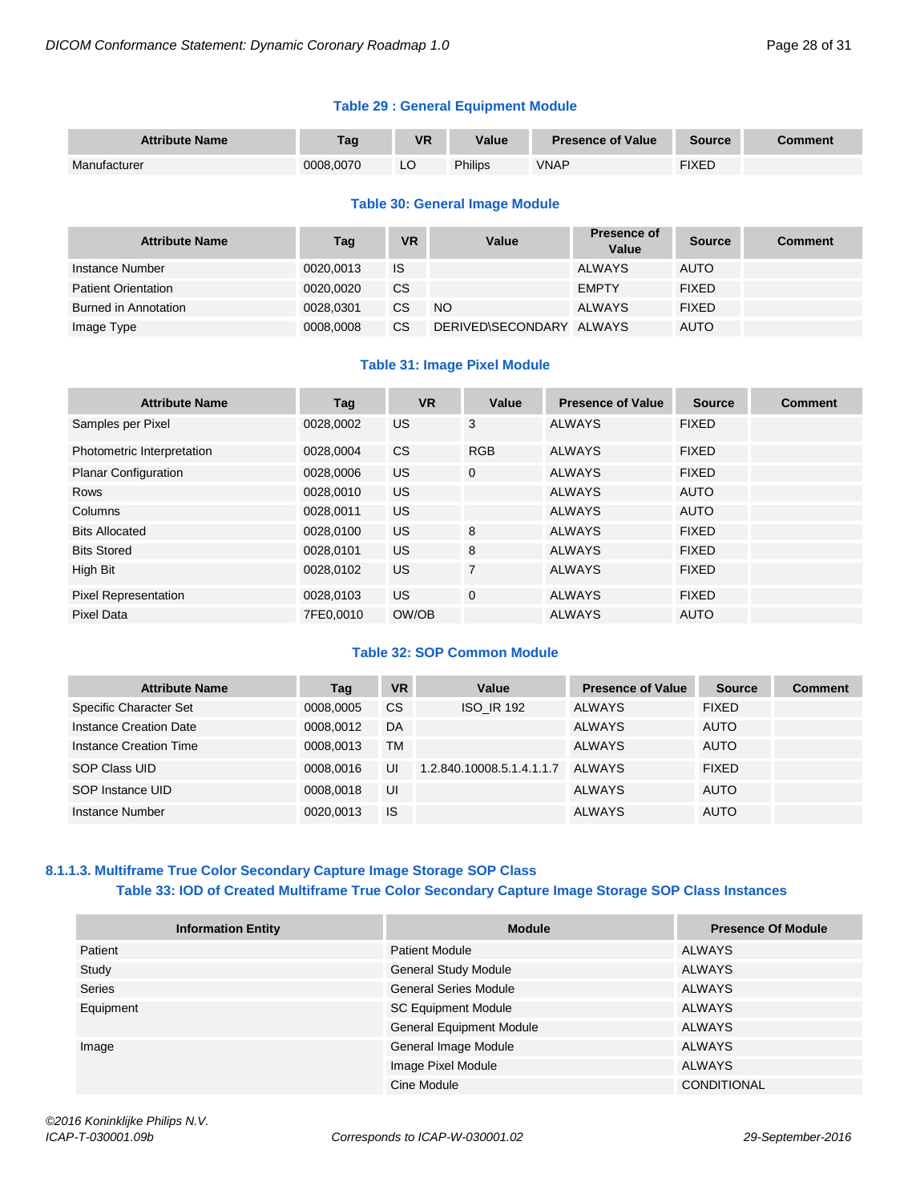## **Table 29 : General Equipment Module**

| <b>Attribute Name</b> | Tag       | <b>VR</b> | Value          | <b>Presence of Value</b> | Source       | Comment |
|-----------------------|-----------|-----------|----------------|--------------------------|--------------|---------|
| Manufacturer          | 0008.0070 |           | <b>Philips</b> | VNAP                     | <b>FIXED</b> |         |

## **Table 30: General Image Module**

| <b>Attribute Name</b>      | Tag       | <b>VR</b> | Value                    | Presence of<br>Value | <b>Source</b> | <b>Comment</b> |
|----------------------------|-----------|-----------|--------------------------|----------------------|---------------|----------------|
| Instance Number            | 0020.0013 | IS        |                          | <b>ALWAYS</b>        | <b>AUTO</b>   |                |
| <b>Patient Orientation</b> | 0020.0020 | <b>CS</b> |                          | <b>EMPTY</b>         | <b>FIXED</b>  |                |
| Burned in Annotation       | 0028.0301 | <b>CS</b> | <b>NO</b>                | <b>ALWAYS</b>        | <b>FIXED</b>  |                |
| Image Type                 | 0008,0008 | CS.       | DERIVED\SECONDARY ALWAYS |                      | <b>AUTO</b>   |                |

## **Table 31: Image Pixel Module**

| <b>Attribute Name</b>       | Tag       | <b>VR</b> | Value          | <b>Presence of Value</b> | <b>Source</b> | <b>Comment</b> |
|-----------------------------|-----------|-----------|----------------|--------------------------|---------------|----------------|
| Samples per Pixel           | 0028,0002 | US.       | 3              | <b>ALWAYS</b>            | <b>FIXED</b>  |                |
| Photometric Interpretation  | 0028.0004 | <b>CS</b> | <b>RGB</b>     | <b>ALWAYS</b>            | <b>FIXED</b>  |                |
| <b>Planar Configuration</b> | 0028,0006 | US.       | $\mathbf 0$    | <b>ALWAYS</b>            | <b>FIXED</b>  |                |
| <b>Rows</b>                 | 0028.0010 | US.       |                | <b>ALWAYS</b>            | <b>AUTO</b>   |                |
| Columns                     | 0028,0011 | US.       |                | <b>ALWAYS</b>            | <b>AUTO</b>   |                |
| <b>Bits Allocated</b>       | 0028.0100 | US.       | 8              | <b>ALWAYS</b>            | <b>FIXED</b>  |                |
| <b>Bits Stored</b>          | 0028,0101 | US.       | 8              | <b>ALWAYS</b>            | <b>FIXED</b>  |                |
| High Bit                    | 0028,0102 | US.       | $\overline{7}$ | <b>ALWAYS</b>            | <b>FIXED</b>  |                |
| <b>Pixel Representation</b> | 0028,0103 | US.       | $\mathbf{0}$   | <b>ALWAYS</b>            | <b>FIXED</b>  |                |
| Pixel Data                  | 7FE0.0010 | OW/OB     |                | <b>ALWAYS</b>            | <b>AUTO</b>   |                |

## **Table 32: SOP Common Module**

| <b>Attribute Name</b>  | Tag       | <b>VR</b> | Value                     | <b>Presence of Value</b> | <b>Source</b> | <b>Comment</b> |
|------------------------|-----------|-----------|---------------------------|--------------------------|---------------|----------------|
| Specific Character Set | 0008.0005 | <b>CS</b> | <b>ISO IR 192</b>         | <b>ALWAYS</b>            | <b>FIXED</b>  |                |
| Instance Creation Date | 0008.0012 | DA        |                           | <b>ALWAYS</b>            | <b>AUTO</b>   |                |
| Instance Creation Time | 0008.0013 | <b>TM</b> |                           | <b>ALWAYS</b>            | <b>AUTO</b>   |                |
| SOP Class UID          | 0008.0016 | UI        | 1.2.840.10008.5.1.4.1.1.7 | <b>ALWAYS</b>            | <b>FIXED</b>  |                |
| SOP Instance UID       | 0008.0018 | UI        |                           | <b>ALWAYS</b>            | <b>AUTO</b>   |                |
| Instance Number        | 0020.0013 | <b>IS</b> |                           | <b>ALWAYS</b>            | <b>AUTO</b>   |                |

## <span id="page-27-0"></span>**8.1.1.3. Multiframe True Color Secondary Capture Image Storage SOP Class Table 33: IOD of Created Multiframe True Color Secondary Capture Image Storage SOP Class Instances**

| <b>Information Entity</b> | <b>Module</b>                   | <b>Presence Of Module</b> |
|---------------------------|---------------------------------|---------------------------|
| Patient                   | <b>Patient Module</b>           | <b>ALWAYS</b>             |
| Study                     | <b>General Study Module</b>     | <b>ALWAYS</b>             |
| <b>Series</b>             | <b>General Series Module</b>    | <b>ALWAYS</b>             |
| Equipment                 | <b>SC Equipment Module</b>      | <b>ALWAYS</b>             |
|                           | <b>General Equipment Module</b> | <b>ALWAYS</b>             |
| Image                     | General Image Module            | <b>ALWAYS</b>             |
|                           | Image Pixel Module              | <b>ALWAYS</b>             |
|                           | Cine Module                     | <b>CONDITIONAL</b>        |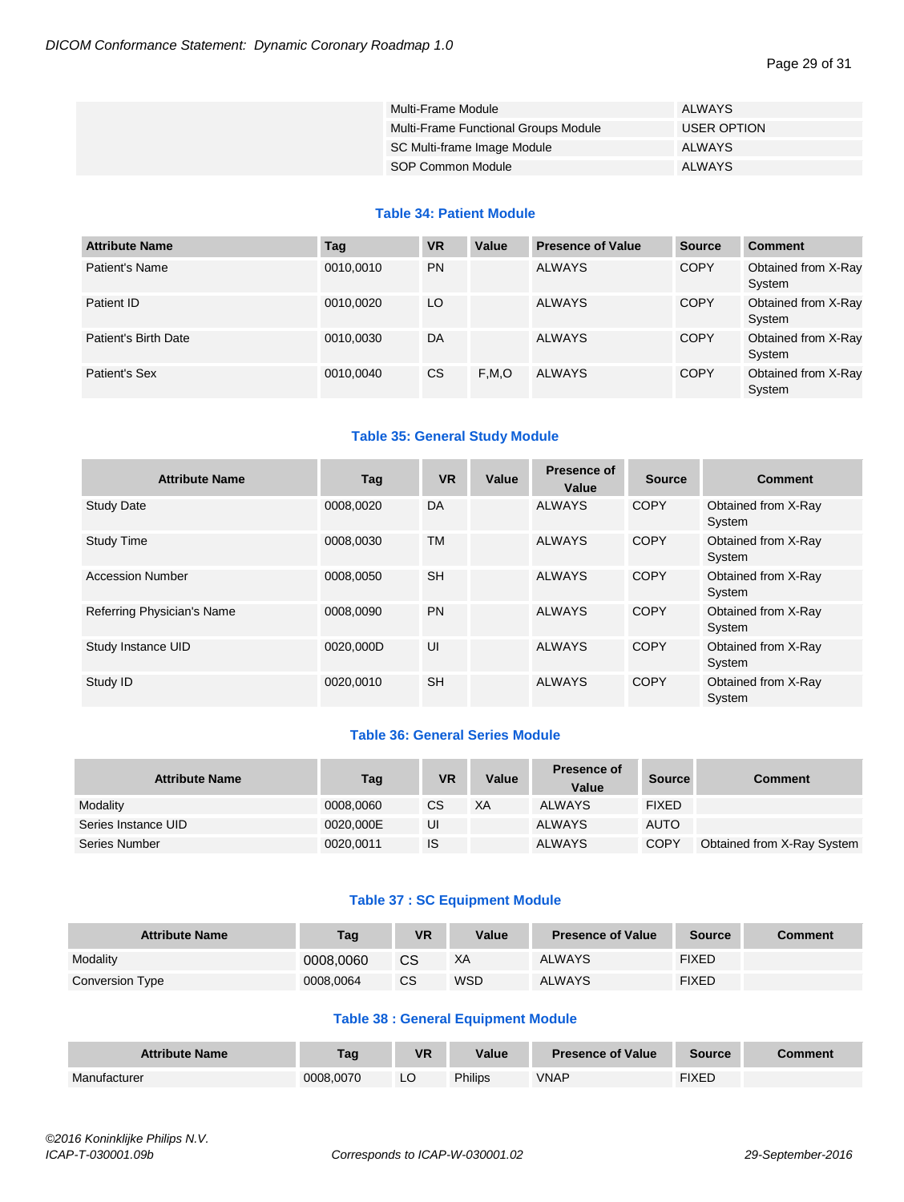| Multi-Frame Module                   | ALWAYS        |
|--------------------------------------|---------------|
| Multi-Frame Functional Groups Module | USER OPTION   |
| SC Multi-frame Image Module          | ALWAYS        |
| SOP Common Module                    | <b>ALWAYS</b> |

## **Table 34: Patient Module**

| <b>Attribute Name</b> | Tag       | <b>VR</b> | Value | <b>Presence of Value</b> | <b>Source</b> | <b>Comment</b>                |
|-----------------------|-----------|-----------|-------|--------------------------|---------------|-------------------------------|
| Patient's Name        | 0010,0010 | <b>PN</b> |       | <b>ALWAYS</b>            | <b>COPY</b>   | Obtained from X-Ray<br>System |
| Patient ID            | 0010,0020 | LO        |       | <b>ALWAYS</b>            | <b>COPY</b>   | Obtained from X-Ray<br>System |
| Patient's Birth Date  | 0010,0030 | DA        |       | <b>ALWAYS</b>            | <b>COPY</b>   | Obtained from X-Ray<br>System |
| Patient's Sex         | 0010,0040 | CS        | F.M.O | <b>ALWAYS</b>            | <b>COPY</b>   | Obtained from X-Ray<br>System |

## **Table 35: General Study Module**

| <b>Attribute Name</b>      | Tag       | <b>VR</b> | Value | Presence of<br>Value | <b>Source</b> | <b>Comment</b>                |
|----------------------------|-----------|-----------|-------|----------------------|---------------|-------------------------------|
| <b>Study Date</b>          | 0008.0020 | DA        |       | <b>ALWAYS</b>        | COPY          | Obtained from X-Ray<br>System |
| <b>Study Time</b>          | 0008,0030 | <b>TM</b> |       | <b>ALWAYS</b>        | <b>COPY</b>   | Obtained from X-Ray<br>System |
| <b>Accession Number</b>    | 0008,0050 | <b>SH</b> |       | <b>ALWAYS</b>        | <b>COPY</b>   | Obtained from X-Ray<br>System |
| Referring Physician's Name | 0008,0090 | <b>PN</b> |       | <b>ALWAYS</b>        | <b>COPY</b>   | Obtained from X-Ray<br>System |
| Study Instance UID         | 0020.000D | UI        |       | <b>ALWAYS</b>        | <b>COPY</b>   | Obtained from X-Ray<br>System |
| Study ID                   | 0020.0010 | <b>SH</b> |       | <b>ALWAYS</b>        | <b>COPY</b>   | Obtained from X-Ray<br>System |

## **Table 36: General Series Module**

| <b>Attribute Name</b> | Tag       | VR            | Value | Presence of<br>Value | <b>Source</b> | <b>Comment</b>             |
|-----------------------|-----------|---------------|-------|----------------------|---------------|----------------------------|
| Modality              | 0008,0060 | <sub>CS</sub> | XA    | <b>ALWAYS</b>        | <b>FIXED</b>  |                            |
| Series Instance UID   | 0020.000E | UI            |       | <b>ALWAYS</b>        | <b>AUTO</b>   |                            |
| Series Number         | 0020,0011 | <b>IS</b>     |       | <b>ALWAYS</b>        | <b>COPY</b>   | Obtained from X-Ray System |

## **Table 37 : SC Equipment Module**

| <b>Attribute Name</b> | Tag       | VR        | Value | <b>Presence of Value</b> | <b>Source</b> | <b>Comment</b> |
|-----------------------|-----------|-----------|-------|--------------------------|---------------|----------------|
| Modality              | 0008.0060 | CS        | XA    | <b>ALWAYS</b>            | <b>FIXED</b>  |                |
| Conversion Type       | 0008.0064 | <b>CS</b> | WSD   | <b>ALWAYS</b>            | FIXED         |                |

## **Table 38 : General Equipment Module**

| <b>Attribute Name</b> | Tag       | <b>VR</b> | Value          | <b>Presence of Value</b> | <b>Source</b> | <b>Comment</b> |
|-----------------------|-----------|-----------|----------------|--------------------------|---------------|----------------|
| Manufacturer          | 0008,0070 | "         | <b>Philips</b> | VNAP                     | <b>FIXED</b>  |                |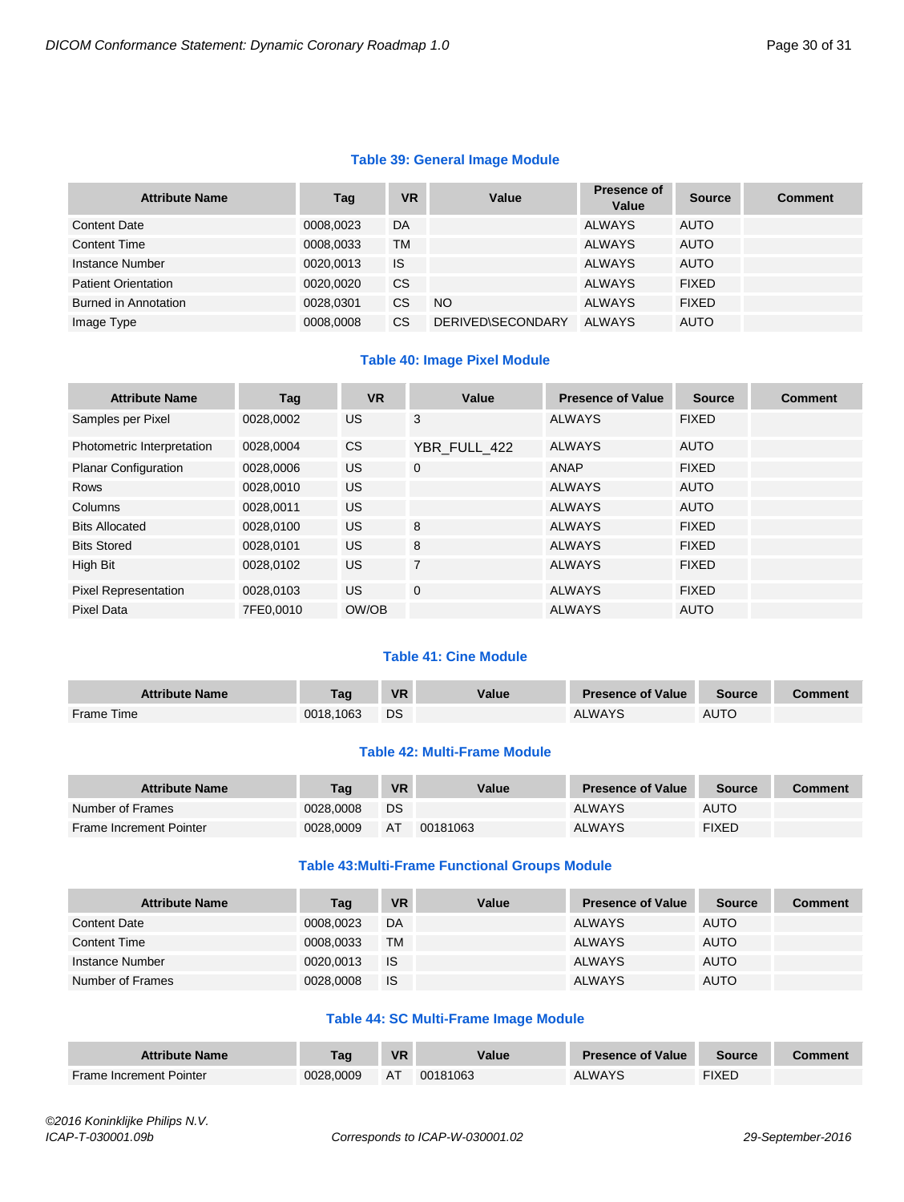## **Table 39: General Image Module**

| <b>Attribute Name</b>      | Tag       | <b>VR</b> | Value             | <b>Presence of</b><br>Value | <b>Source</b> | <b>Comment</b> |
|----------------------------|-----------|-----------|-------------------|-----------------------------|---------------|----------------|
| <b>Content Date</b>        | 0008,0023 | DA        |                   | <b>ALWAYS</b>               | <b>AUTO</b>   |                |
| <b>Content Time</b>        | 0008,0033 | TM        |                   | <b>ALWAYS</b>               | <b>AUTO</b>   |                |
| Instance Number            | 0020,0013 | IS        |                   | <b>ALWAYS</b>               | <b>AUTO</b>   |                |
| <b>Patient Orientation</b> | 0020,0020 | <b>CS</b> |                   | <b>ALWAYS</b>               | <b>FIXED</b>  |                |
| Burned in Annotation       | 0028,0301 | СS        | <b>NO</b>         | <b>ALWAYS</b>               | <b>FIXED</b>  |                |
| Image Type                 | 0008.0008 | CS.       | DERIVED\SECONDARY | ALWAYS                      | <b>AUTO</b>   |                |

## **Table 40: Image Pixel Module**

| <b>Attribute Name</b>       | Tag       | <b>VR</b> | Value        | <b>Presence of Value</b> | <b>Source</b> | <b>Comment</b> |
|-----------------------------|-----------|-----------|--------------|--------------------------|---------------|----------------|
| Samples per Pixel           | 0028,0002 | US.       | 3            | <b>ALWAYS</b>            | <b>FIXED</b>  |                |
| Photometric Interpretation  | 0028,0004 | <b>CS</b> | YBR_FULL_422 | <b>ALWAYS</b>            | <b>AUTO</b>   |                |
| <b>Planar Configuration</b> | 0028,0006 | US.       | $\mathbf 0$  | ANAP                     | <b>FIXED</b>  |                |
| Rows                        | 0028.0010 | US.       |              | <b>ALWAYS</b>            | <b>AUTO</b>   |                |
| Columns                     | 0028.0011 | US.       |              | <b>ALWAYS</b>            | <b>AUTO</b>   |                |
| <b>Bits Allocated</b>       | 0028.0100 | <b>US</b> | 8            | <b>ALWAYS</b>            | <b>FIXED</b>  |                |
| <b>Bits Stored</b>          | 0028.0101 | <b>US</b> | 8            | <b>ALWAYS</b>            | <b>FIXED</b>  |                |
| High Bit                    | 0028.0102 | <b>US</b> | 7            | <b>ALWAYS</b>            | <b>FIXED</b>  |                |
| <b>Pixel Representation</b> | 0028.0103 | <b>US</b> | $\mathbf 0$  | <b>ALWAYS</b>            | <b>FIXED</b>  |                |
| Pixel Data                  | 7FE0.0010 | OW/OB     |              | <b>ALWAYS</b>            | <b>AUTO</b>   |                |

## **Table 41: Cine Module**

| <b>Attribute Name</b> | Taq       | <b>VR</b> | Value | <b>Presence of Value</b> | <b>Source</b> | Comment |
|-----------------------|-----------|-----------|-------|--------------------------|---------------|---------|
| <b>Frame Time</b>     | 0018.1063 | DS        |       | <b>ALWAYS</b>            | <b>AUTO</b>   |         |

## **Table 42: Multi-Frame Module**

| <b>Attribute Name</b>          | Taq       | <b>VR</b> | Value    | <b>Presence of Value</b> | Source       | Comment |
|--------------------------------|-----------|-----------|----------|--------------------------|--------------|---------|
| Number of Frames               | 0028.0008 | DS        |          | ALWAYS                   | <b>AUTO</b>  |         |
| <b>Frame Increment Pointer</b> | 0028.0009 | AT        | 00181063 | <b>ALWAYS</b>            | <b>FIXED</b> |         |

## **Table 43:Multi-Frame Functional Groups Module**

| <b>Attribute Name</b> | Tag       | <b>VR</b> | Value | <b>Presence of Value</b> | <b>Source</b> | <b>Comment</b> |
|-----------------------|-----------|-----------|-------|--------------------------|---------------|----------------|
| <b>Content Date</b>   | 0008.0023 | DA        |       | <b>ALWAYS</b>            | <b>AUTO</b>   |                |
| <b>Content Time</b>   | 0008,0033 | TM        |       | <b>ALWAYS</b>            | <b>AUTO</b>   |                |
| Instance Number       | 0020.0013 | <b>IS</b> |       | <b>ALWAYS</b>            | <b>AUTO</b>   |                |
| Number of Frames      | 0028,0008 | <b>IS</b> |       | <b>ALWAYS</b>            | <b>AUTO</b>   |                |

## **Table 44: SC Multi-Frame Image Module**

| <b>Attribute Name</b>   | Taq       | <b>VR</b> | Value    | <b>Presence of Value</b> | Source       | :omment |
|-------------------------|-----------|-----------|----------|--------------------------|--------------|---------|
| Frame Increment Pointer | 0028.0009 | AT        | 00181063 | <b>ALWAYS</b>            | <b>FIXED</b> |         |